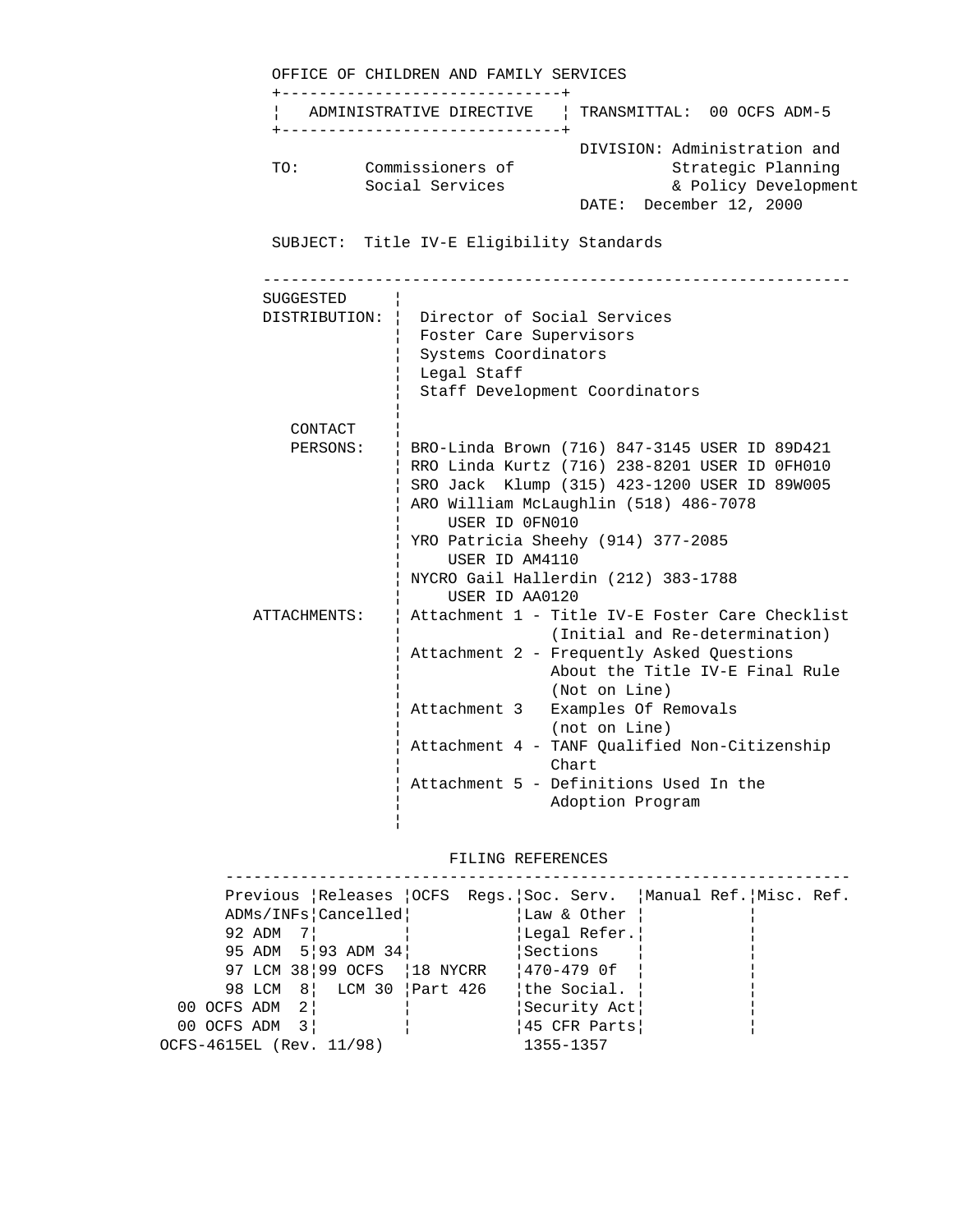|              | OFFICE OF CHILDREN AND FAMILY SERVICES<br>--------------------------------                                                                                                                                                                                                                                                   |
|--------------|------------------------------------------------------------------------------------------------------------------------------------------------------------------------------------------------------------------------------------------------------------------------------------------------------------------------------|
|              | ADMINISTRATIVE DIRECTIVE   TRANSMITTAL: 00 OCFS ADM-5<br>------------------------------                                                                                                                                                                                                                                      |
| TO:          | DIVISION: Administration and<br>Commissioners of<br>Strategic Planning<br>Social Services<br>& Policy Development<br>DATE: December 12, 2000                                                                                                                                                                                 |
|              | SUBJECT: Title IV-E Eligibility Standards                                                                                                                                                                                                                                                                                    |
| SUGGESTED    |                                                                                                                                                                                                                                                                                                                              |
|              | DISTRIBUTION:   Director of Social Services<br>  Foster Care Supervisors<br>Systems Coordinators<br>Legal Staff<br>Staff Development Coordinators                                                                                                                                                                            |
| CONTACT      |                                                                                                                                                                                                                                                                                                                              |
| PERSONS:     | BRO-Linda Brown (716) 847-3145 USER ID 89D421<br>  RRO Linda Kurtz (716) 238-8201 USER ID OFH010<br>SRO Jack Klump (315) 423-1200 USER ID 89W005<br>ARO William McLaughlin (518) 486-7078<br>USER ID OFN010<br>YRO Patricia Sheehy (914) 377-2085<br>USER ID AM4110<br>NYCRO Gail Hallerdin (212) 383-1788<br>USER ID AA0120 |
| ATTACHMENTS: | Attachment 1 - Title IV-E Foster Care Checklist<br>(Initial and Re-determination)<br>Attachment 2 - Frequently Asked Questions<br>About the Title IV-E Final Rule<br>(Not on Line)<br>Attachment 3 Examples Of Removals<br>(not on Line)                                                                                     |
|              | Attachment 4 - TANF Qualified Non-Citizenship<br>Chart<br>Attachment 5 - Definitions Used In the<br>Adoption Program                                                                                                                                                                                                         |

# FILING REFERENCES

|                          |                                |              | Previous Releases OCFS Regs. Soc. Serv. Manual Ref. Misc. Ref. |  |
|--------------------------|--------------------------------|--------------|----------------------------------------------------------------|--|
|                          | ADMs/INFs Cancelled            | Law & Other! |                                                                |  |
| 92 $ADM$ 7               |                                | Legal Refer. |                                                                |  |
|                          | 95 ADM 5   93 ADM 34           | Sections     |                                                                |  |
|                          | 97 LCM 38   99 OCFS   18 NYCRR | 1470-479 Of  |                                                                |  |
|                          | 98 LCM 8 LCM 30 Part 426       | the Social.  |                                                                |  |
| 00 OCFS ADM 2            |                                | Security Act |                                                                |  |
| 00 OCFS ADM              | $\overline{3}$                 | 45 CFR Parts |                                                                |  |
| OCFS-4615EL (Rev. 11/98) |                                | 1355-1357    |                                                                |  |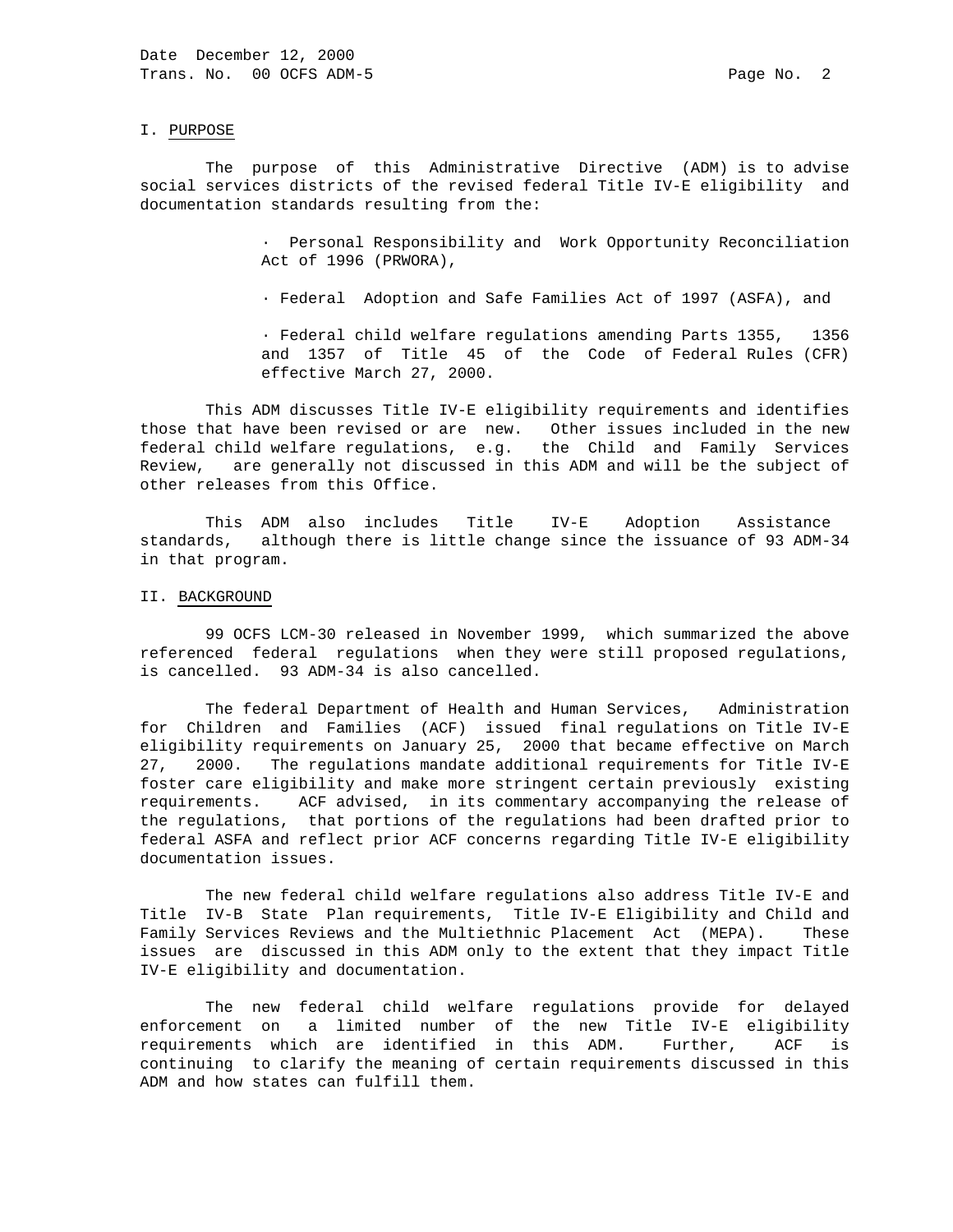#### I. PURPOSE

 The purpose of this Administrative Directive (ADM) is to advise social services districts of the revised federal Title IV-E eligibility and documentation standards resulting from the:

> · Personal Responsibility and Work Opportunity Reconciliation Act of 1996 (PRWORA),

· Federal Adoption and Safe Families Act of 1997 (ASFA), and

 · Federal child welfare regulations amending Parts 1355, 1356 and 1357 of Title 45 of the Code of Federal Rules (CFR) effective March 27, 2000.

 This ADM discusses Title IV-E eligibility requirements and identifies those that have been revised or are new. Other issues included in the new federal child welfare regulations, e.g. the Child and Family Services Review, are generally not discussed in this ADM and will be the subject of other releases from this Office.

 This ADM also includes Title IV-E Adoption Assistance standards, although there is little change since the issuance of 93 ADM-34 in that program.

### II. BACKGROUND

 99 OCFS LCM-30 released in November 1999, which summarized the above referenced federal regulations when they were still proposed regulations, is cancelled. 93 ADM-34 is also cancelled.

 The federal Department of Health and Human Services, Administration for Children and Families (ACF) issued final regulations on Title IV-E eligibility requirements on January 25, 2000 that became effective on March 27, 2000. The regulations mandate additional requirements for Title IV-E foster care eligibility and make more stringent certain previously existing requirements. ACF advised, in its commentary accompanying the release of the regulations, that portions of the regulations had been drafted prior to federal ASFA and reflect prior ACF concerns regarding Title IV-E eligibility documentation issues.

 The new federal child welfare regulations also address Title IV-E and Title IV-B State Plan requirements, Title IV-E Eligibility and Child and Family Services Reviews and the Multiethnic Placement Act (MEPA). These issues are discussed in this ADM only to the extent that they impact Title IV-E eligibility and documentation.

 The new federal child welfare regulations provide for delayed enforcement on a limited number of the new Title IV-E eligibility requirements which are identified in this ADM. Further, ACF is continuing to clarify the meaning of certain requirements discussed in this ADM and how states can fulfill them.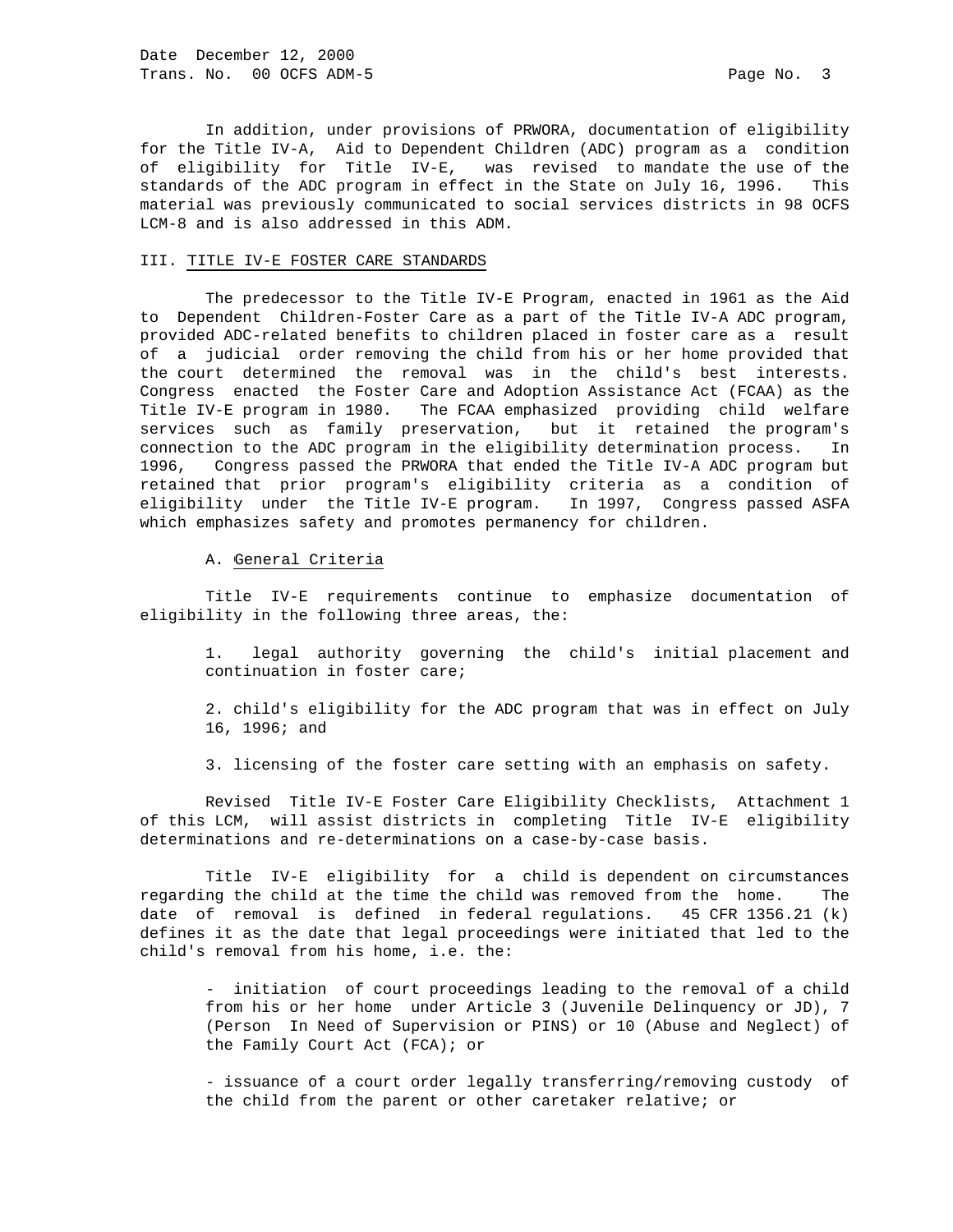In addition, under provisions of PRWORA, documentation of eligibility for the Title IV-A, Aid to Dependent Children (ADC) program as a condition of eligibility for Title IV-E, was revised to mandate the use of the standards of the ADC program in effect in the State on July 16, 1996. This material was previously communicated to social services districts in 98 OCFS LCM-8 and is also addressed in this ADM.

# III. TITLE IV-E FOSTER CARE STANDARDS

 The predecessor to the Title IV-E Program, enacted in 1961 as the Aid to Dependent Children-Foster Care as a part of the Title IV-A ADC program, provided ADC-related benefits to children placed in foster care as a result of a judicial order removing the child from his or her home provided that the court determined the removal was in the child's best interests. Congress enacted the Foster Care and Adoption Assistance Act (FCAA) as the Title IV-E program in 1980. The FCAA emphasized providing child welfare services such as family preservation, but it retained the program's connection to the ADC program in the eligibility determination process. In 1996, Congress passed the PRWORA that ended the Title IV-A ADC program but retained that prior program's eligibility criteria as a condition of eligibility under the Title IV-E program. In 1997, Congress passed ASFA which emphasizes safety and promotes permanency for children.

### A. General Criteria

 Title IV-E requirements continue to emphasize documentation of eligibility in the following three areas, the:

 1. legal authority governing the child's initial placement and continuation in foster care;

 2. child's eligibility for the ADC program that was in effect on July 16, 1996; and

3. licensing of the foster care setting with an emphasis on safety.

 Revised Title IV-E Foster Care Eligibility Checklists, Attachment 1 of this LCM, will assist districts in completing Title IV-E eligibility determinations and re-determinations on a case-by-case basis.

 Title IV-E eligibility for a child is dependent on circumstances regarding the child at the time the child was removed from the home. The date of removal is defined in federal regulations. 45 CFR 1356.21 (k) defines it as the date that legal proceedings were initiated that led to the child's removal from his home, i.e. the:

 - initiation of court proceedings leading to the removal of a child from his or her home under Article 3 (Juvenile Delinquency or JD), 7 (Person In Need of Supervision or PINS) or 10 (Abuse and Neglect) of the Family Court Act (FCA); or

 - issuance of a court order legally transferring/removing custody of the child from the parent or other caretaker relative; or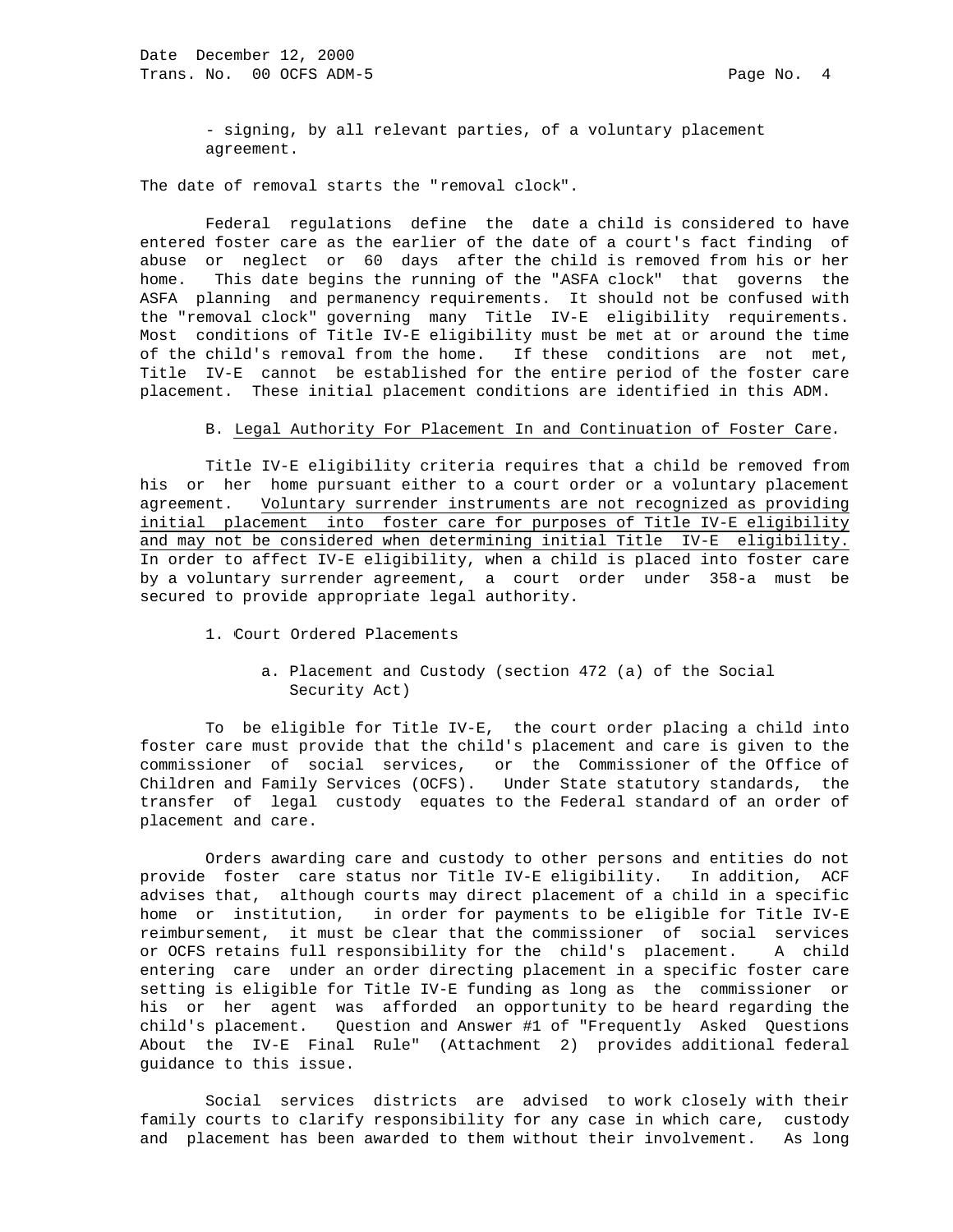- signing, by all relevant parties, of a voluntary placement agreement.

The date of removal starts the "removal clock".

 Federal regulations define the date a child is considered to have entered foster care as the earlier of the date of a court's fact finding of abuse or neglect or 60 days after the child is removed from his or her home. This date begins the running of the "ASFA clock" that governs the ASFA planning and permanency requirements. It should not be confused with the "removal clock" governing many Title IV-E eligibility requirements. Most conditions of Title IV-E eligibility must be met at or around the time of the child's removal from the home. If these conditions are not met, Title IV-E cannot be established for the entire period of the foster care placement. These initial placement conditions are identified in this ADM.

### B. Legal Authority For Placement In and Continuation of Foster Care.

 Title IV-E eligibility criteria requires that a child be removed from his or her home pursuant either to a court order or a voluntary placement agreement. Voluntary surrender instruments are not recognized as providing initial placement into foster care for purposes of Title IV-E eligibility and may not be considered when determining initial Title IV-E eligibility. In order to affect IV-E eligibility, when a child is placed into foster care by a voluntary surrender agreement, a court order under 358-a must be secured to provide appropriate legal authority.

- 1. Court Ordered Placements
	- a. Placement and Custody (section 472 (a) of the Social Security Act)

 To be eligible for Title IV-E, the court order placing a child into foster care must provide that the child's placement and care is given to the commissioner of social services, or the Commissioner of the Office of Children and Family Services (OCFS). Under State statutory standards, the transfer of legal custody equates to the Federal standard of an order of placement and care.

 Orders awarding care and custody to other persons and entities do not provide foster care status nor Title IV-E eligibility. In addition, ACF advises that, although courts may direct placement of a child in a specific home or institution, in order for payments to be eligible for Title IV-E reimbursement, it must be clear that the commissioner of social services or OCFS retains full responsibility for the child's placement. A child entering care under an order directing placement in a specific foster care setting is eligible for Title IV-E funding as long as the commissioner or his or her agent was afforded an opportunity to be heard regarding the child's placement. Question and Answer #1 of "Frequently Asked Questions About the IV-E Final Rule" (Attachment 2) provides additional federal guidance to this issue.

 Social services districts are advised to work closely with their family courts to clarify responsibility for any case in which care, custody and placement has been awarded to them without their involvement. As long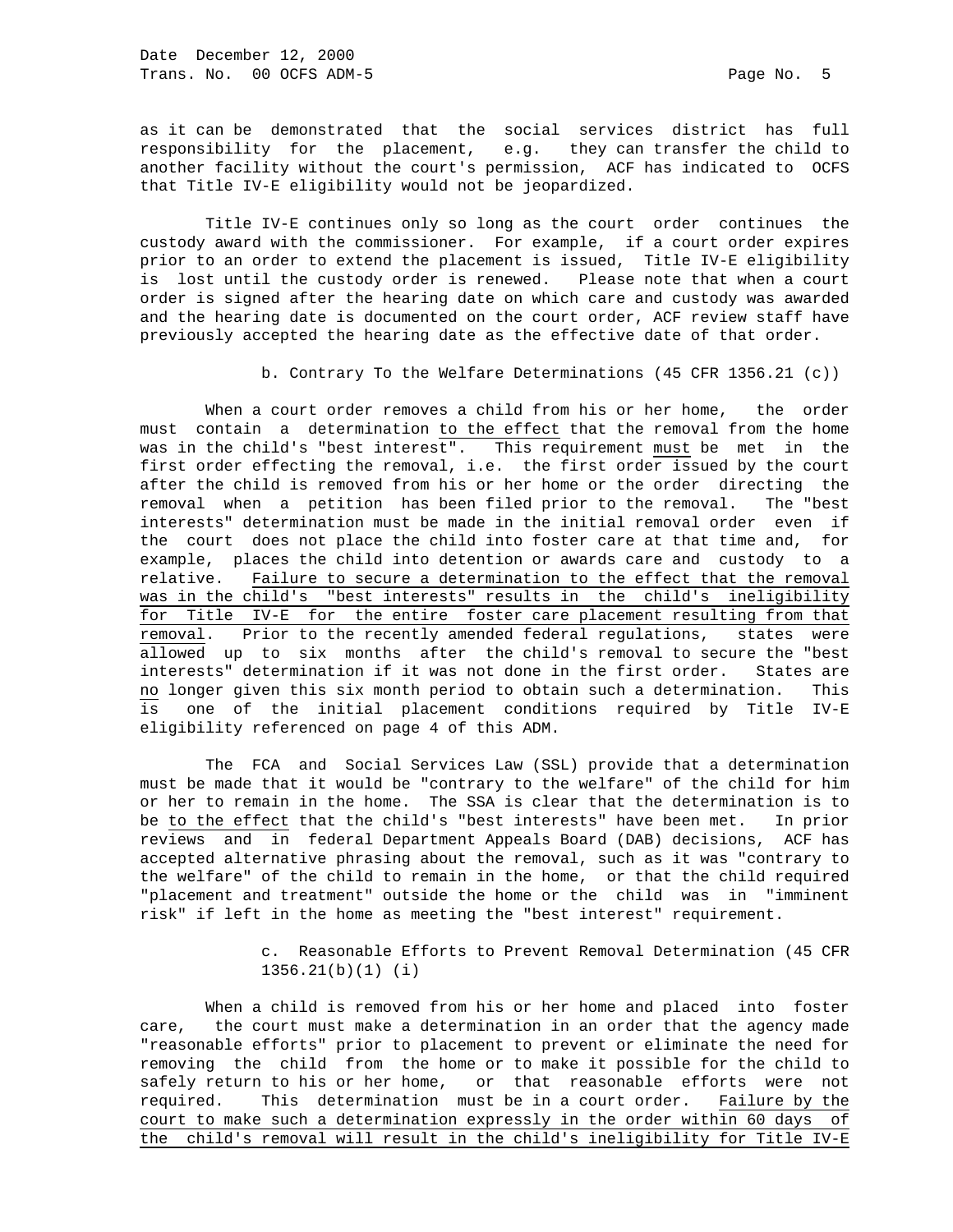as it can be demonstrated that the social services district has full responsibility for the placement, e.g. they can transfer the child to another facility without the court's permission, ACF has indicated to OCFS that Title IV-E eligibility would not be jeopardized.

 Title IV-E continues only so long as the court order continues the custody award with the commissioner. For example, if a court order expires prior to an order to extend the placement is issued, Title IV-E eligibility is lost until the custody order is renewed. Please note that when a court order is signed after the hearing date on which care and custody was awarded and the hearing date is documented on the court order, ACF review staff have previously accepted the hearing date as the effective date of that order.

b. Contrary To the Welfare Determinations (45 CFR 1356.21 (c))

 When a court order removes a child from his or her home, the order must contain a determination to the effect that the removal from the home was in the child's "best interest". This requirement must be met in the first order effecting the removal, i.e. the first order issued by the court after the child is removed from his or her home or the order directing the removal when a petition has been filed prior to the removal. The "best interests" determination must be made in the initial removal order even if the court does not place the child into foster care at that time and, for example, places the child into detention or awards care and custody to a relative. Failure to secure a determination to the effect that the removal was in the child's "best interests" results in the child's ineligibility for Title IV-E for the entire foster care placement resulting from that removal. Prior to the recently amended federal regulations, states were allowed up to six months after the child's removal to secure the "best interests" determination if it was not done in the first order. States are no longer given this six month period to obtain such a determination. This is one of the initial placement conditions required by Title IV-E eligibility referenced on page 4 of this ADM.

 The FCA and Social Services Law (SSL) provide that a determination must be made that it would be "contrary to the welfare" of the child for him or her to remain in the home. The SSA is clear that the determination is to be to the effect that the child's "best interests" have been met. In prior reviews and in federal Department Appeals Board (DAB) decisions, ACF has accepted alternative phrasing about the removal, such as it was "contrary to the welfare" of the child to remain in the home, or that the child required "placement and treatment" outside the home or the child was in "imminent risk" if left in the home as meeting the "best interest" requirement.

> c. Reasonable Efforts to Prevent Removal Determination (45 CFR 1356.21(b)(1) (i)

 When a child is removed from his or her home and placed into foster care, the court must make a determination in an order that the agency made "reasonable efforts" prior to placement to prevent or eliminate the need for removing the child from the home or to make it possible for the child to safely return to his or her home, or that reasonable efforts were not required. This determination must be in a court order. Failure by the court to make such a determination expressly in the order within 60 days of the child's removal will result in the child's ineligibility for Title IV-E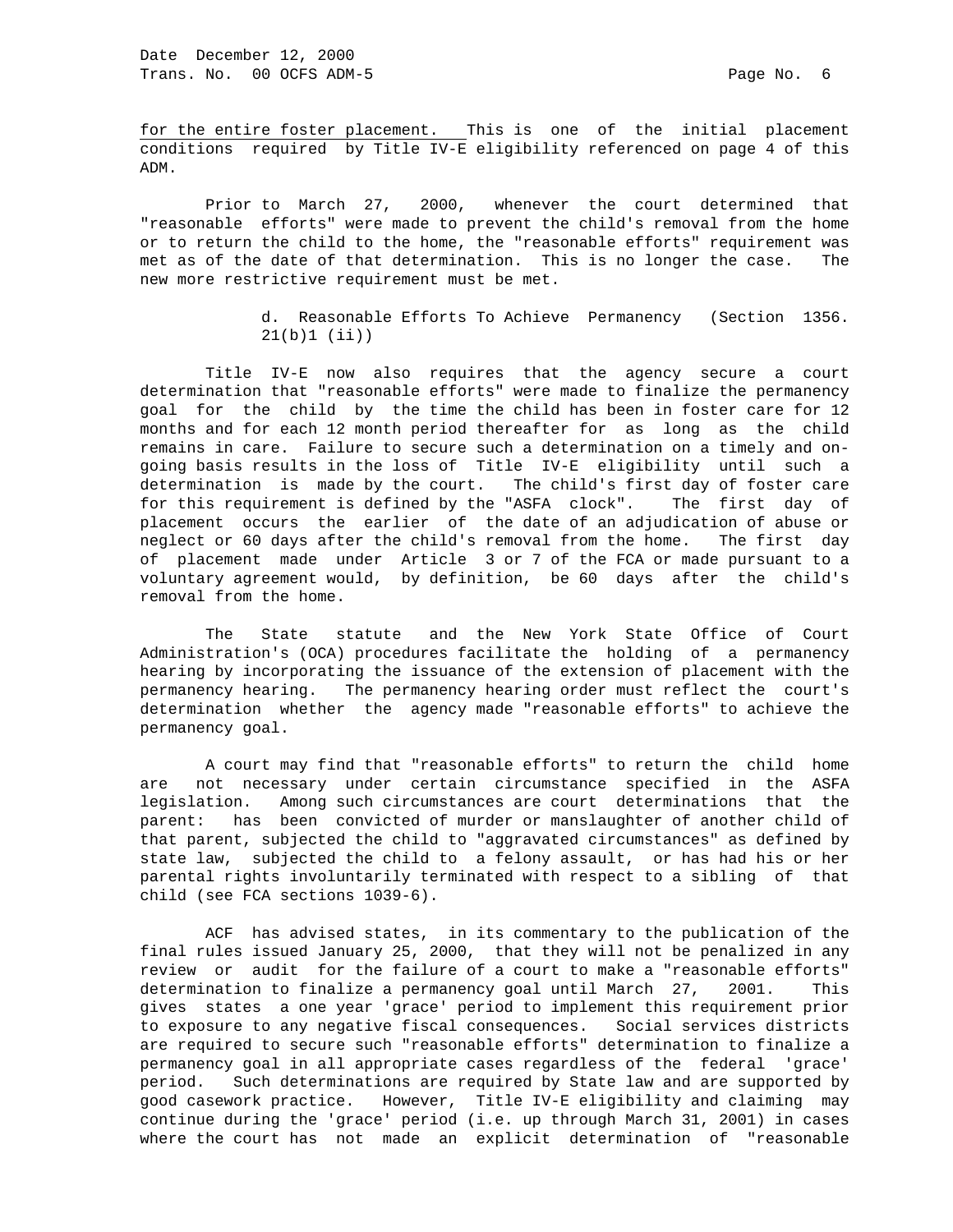for the entire foster placement. This is one of the initial placement conditions required by Title IV-E eligibility referenced on page 4 of this ADM.

 Prior to March 27, 2000, whenever the court determined that "reasonable efforts" were made to prevent the child's removal from the home or to return the child to the home, the "reasonable efforts" requirement was met as of the date of that determination. This is no longer the case. The new more restrictive requirement must be met.

> d. Reasonable Efforts To Achieve Permanency (Section 1356. 21(b)1 (ii))

 Title IV-E now also requires that the agency secure a court determination that "reasonable efforts" were made to finalize the permanency goal for the child by the time the child has been in foster care for 12 months and for each 12 month period thereafter for as long as the child remains in care. Failure to secure such a determination on a timely and ongoing basis results in the loss of Title IV-E eligibility until such a determination is made by the court. The child's first day of foster care for this requirement is defined by the "ASFA clock". The first day of placement occurs the earlier of the date of an adjudication of abuse or neglect or 60 days after the child's removal from the home. The first day of placement made under Article 3 or 7 of the FCA or made pursuant to a voluntary agreement would, by definition, be 60 days after the child's removal from the home.

 The State statute and the New York State Office of Court Administration's (OCA) procedures facilitate the holding of a permanency hearing by incorporating the issuance of the extension of placement with the permanency hearing. The permanency hearing order must reflect the court's determination whether the agency made "reasonable efforts" to achieve the permanency goal.

 A court may find that "reasonable efforts" to return the child home are not necessary under certain circumstance specified in the ASFA legislation. Among such circumstances are court determinations that the parent: has been convicted of murder or manslaughter of another child of that parent, subjected the child to "aggravated circumstances" as defined by state law, subjected the child to a felony assault, or has had his or her parental rights involuntarily terminated with respect to a sibling of that child (see FCA sections 1039-6).

 ACF has advised states, in its commentary to the publication of the final rules issued January 25, 2000, that they will not be penalized in any review or audit for the failure of a court to make a "reasonable efforts" determination to finalize a permanency goal until March 27, 2001. This gives states a one year 'grace' period to implement this requirement prior to exposure to any negative fiscal consequences. Social services districts are required to secure such "reasonable efforts" determination to finalize a permanency goal in all appropriate cases regardless of the federal 'grace' period. Such determinations are required by State law and are supported by good casework practice. However, Title IV-E eligibility and claiming may continue during the 'grace' period (i.e. up through March 31, 2001) in cases where the court has not made an explicit determination of "reasonable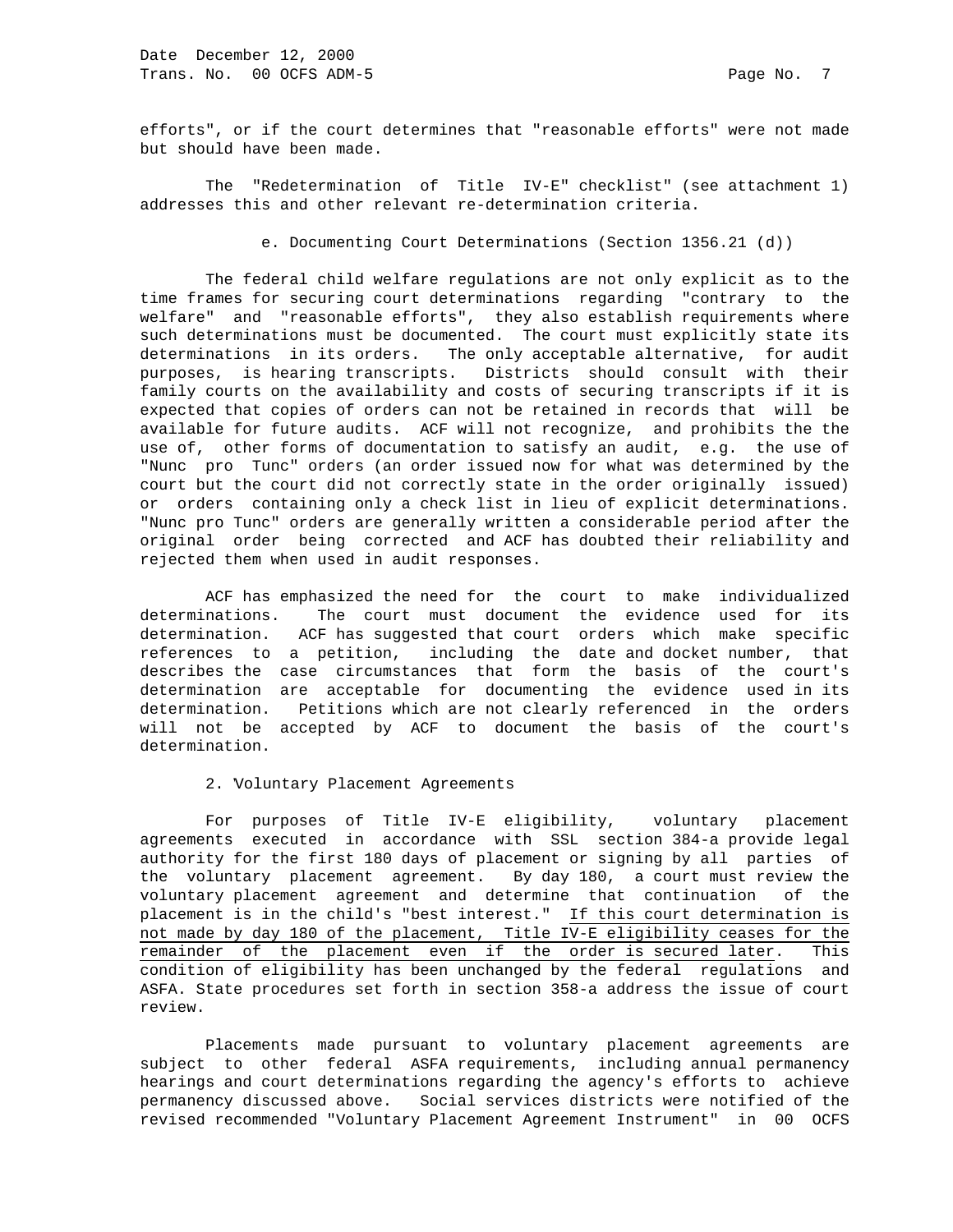efforts", or if the court determines that "reasonable efforts" were not made but should have been made.

 The "Redetermination of Title IV-E" checklist" (see attachment 1) addresses this and other relevant re-determination criteria.

e. Documenting Court Determinations (Section 1356.21 (d))

 The federal child welfare regulations are not only explicit as to the time frames for securing court determinations regarding "contrary to the welfare" and "reasonable efforts", they also establish requirements where such determinations must be documented. The court must explicitly state its determinations in its orders. The only acceptable alternative, for audit purposes, is hearing transcripts. Districts should consult with their family courts on the availability and costs of securing transcripts if it is expected that copies of orders can not be retained in records that will be available for future audits. ACF will not recognize, and prohibits the the use of, other forms of documentation to satisfy an audit, e.g. the use of "Nunc pro Tunc" orders (an order issued now for what was determined by the court but the court did not correctly state in the order originally issued) or orders containing only a check list in lieu of explicit determinations. "Nunc pro Tunc" orders are generally written a considerable period after the original order being corrected and ACF has doubted their reliability and rejected them when used in audit responses.

 ACF has emphasized the need for the court to make individualized determinations. The court must document the evidence used for its determination. ACF has suggested that court orders which make specific references to a petition, including the date and docket number, that describes the case circumstances that form the basis of the court's determination are acceptable for documenting the evidence used in its determination. Petitions which are not clearly referenced in the orders will not be accepted by ACF to document the basis of the court's determination.

### 2. Voluntary Placement Agreements

 For purposes of Title IV-E eligibility, voluntary placement agreements executed in accordance with SSL section 384-a provide legal authority for the first 180 days of placement or signing by all parties of the voluntary placement agreement. By day 180, a court must review the voluntary placement agreement and determine that continuation of the placement is in the child's "best interest." If this court determination is not made by day 180 of the placement, Title IV-E eligibility ceases for the remainder of the placement even if the order is secured later. This condition of eligibility has been unchanged by the federal regulations and ASFA. State procedures set forth in section 358-a address the issue of court review.

 Placements made pursuant to voluntary placement agreements are subject to other federal ASFA requirements, including annual permanency hearings and court determinations regarding the agency's efforts to achieve permanency discussed above. Social services districts were notified of the revised recommended "Voluntary Placement Agreement Instrument" in 00 OCFS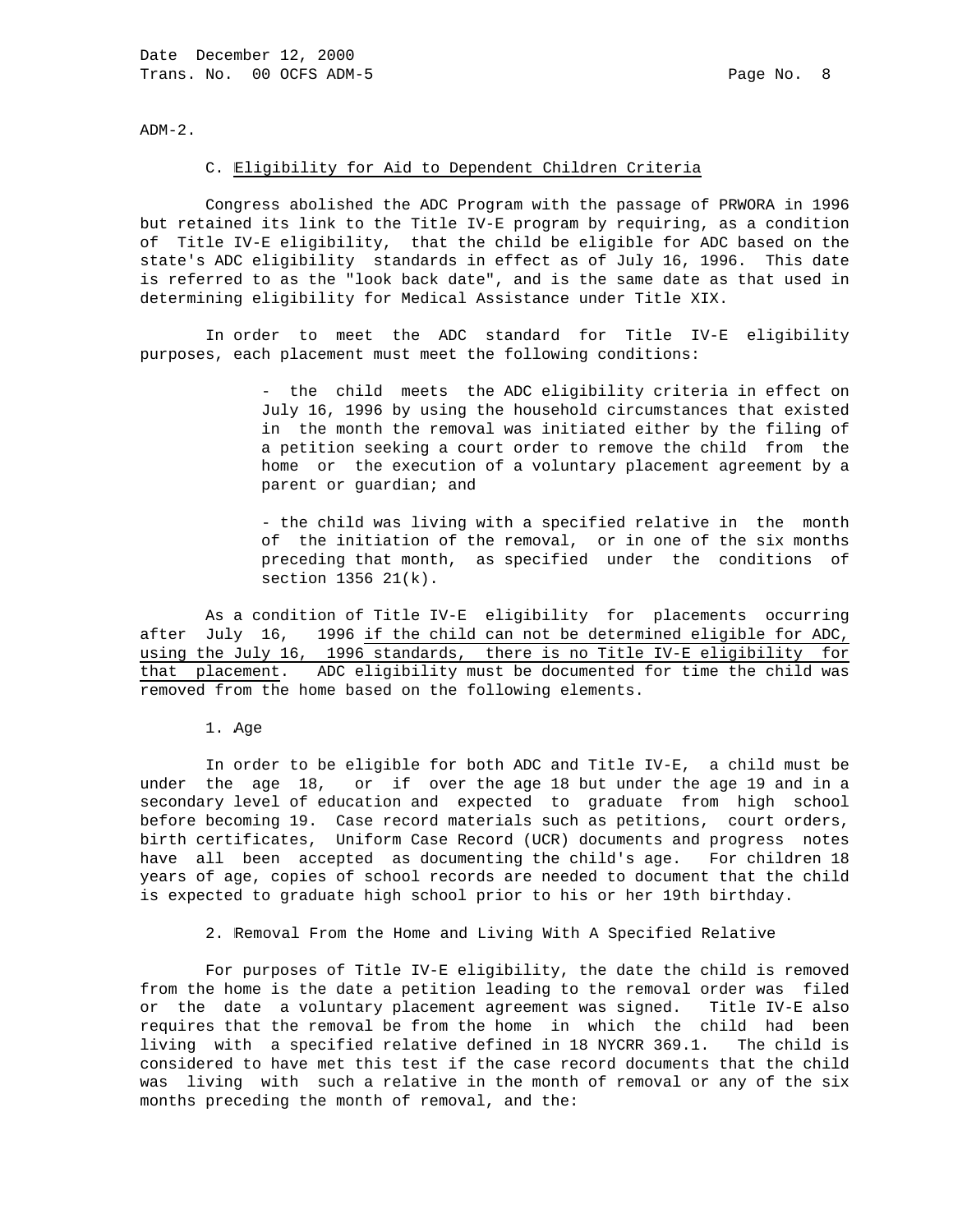$ADM-2.$ 

#### C. Eligibility for Aid to Dependent Children Criteria

 Congress abolished the ADC Program with the passage of PRWORA in 1996 but retained its link to the Title IV-E program by requiring, as a condition of Title IV-E eligibility, that the child be eligible for ADC based on the state's ADC eligibility standards in effect as of July 16, 1996. This date is referred to as the "look back date", and is the same date as that used in determining eligibility for Medical Assistance under Title XIX.

 In order to meet the ADC standard for Title IV-E eligibility purposes, each placement must meet the following conditions:

> - the child meets the ADC eligibility criteria in effect on July 16, 1996 by using the household circumstances that existed in the month the removal was initiated either by the filing of a petition seeking a court order to remove the child from the home or the execution of a voluntary placement agreement by a parent or guardian; and

> - the child was living with a specified relative in the month the initiation of the removal, or in one of the six months preceding that month, as specified under the conditions of section 1356 21(k).

 As a condition of Title IV-E eligibility for placements occurring after July 16, 1996 if the child can not be determined eligible for ADC, using the July 16, 1996 standards, there is no Title IV-E eligibility for that placement. ADC eligibility must be documented for time the child was removed from the home based on the following elements.

1. Age

 In order to be eligible for both ADC and Title IV-E, a child must be under the age 18, or if over the age 18 but under the age 19 and in a secondary level of education and expected to graduate from high school before becoming 19. Case record materials such as petitions, court orders, birth certificates, Uniform Case Record (UCR) documents and progress notes have all been accepted as documenting the child's age. For children 18 years of age, copies of school records are needed to document that the child is expected to graduate high school prior to his or her 19th birthday.

2. Removal From the Home and Living With A Specified Relative

 For purposes of Title IV-E eligibility, the date the child is removed from the home is the date a petition leading to the removal order was filed or the date a voluntary placement agreement was signed. Title IV-E also requires that the removal be from the home in which the child had been living with a specified relative defined in 18 NYCRR 369.1. The child is considered to have met this test if the case record documents that the child was living with such a relative in the month of removal or any of the six months preceding the month of removal, and the: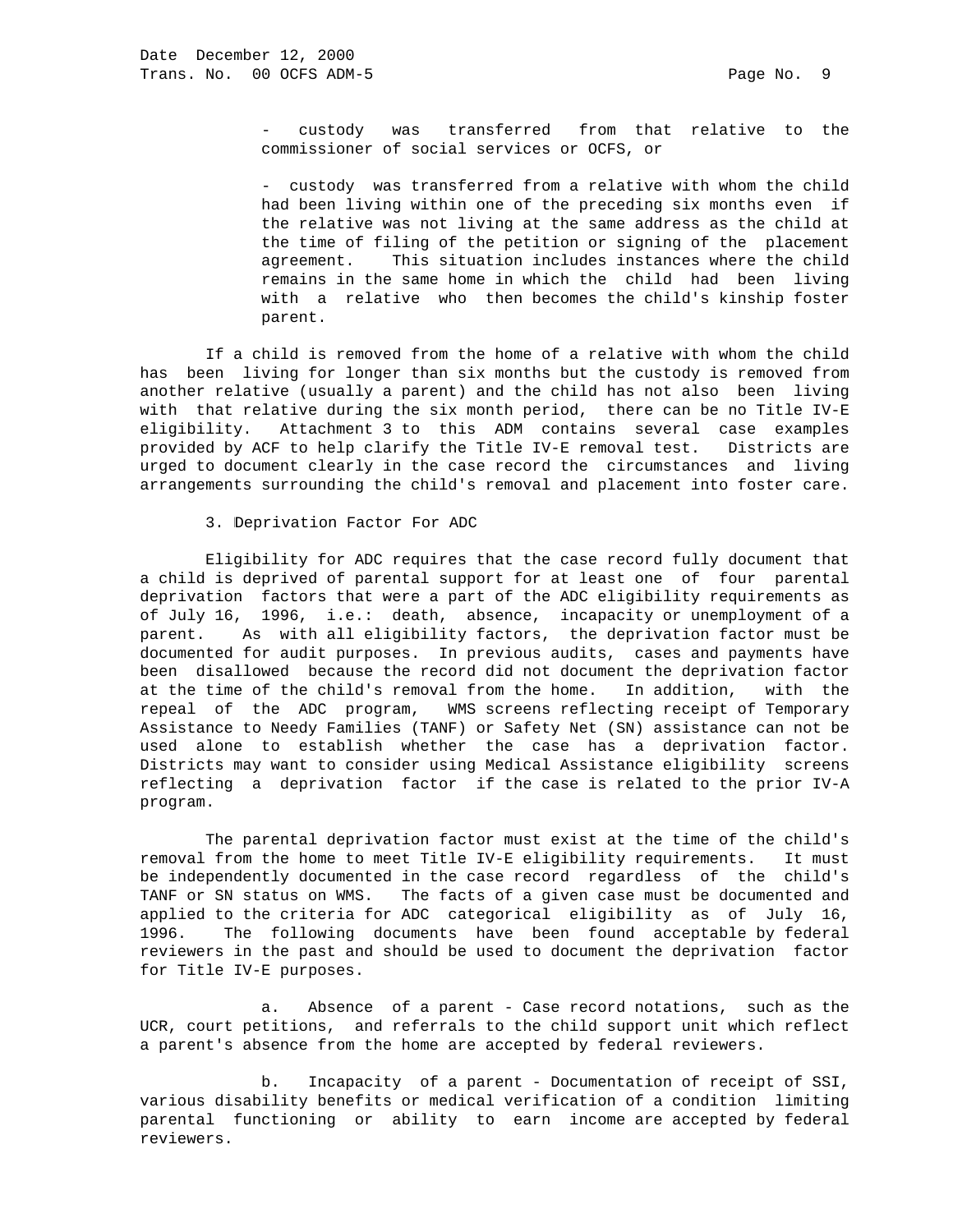custody was transferred from that relative to the commissioner of social services or OCFS, or

 - custody was transferred from a relative with whom the child had been living within one of the preceding six months even if the relative was not living at the same address as the child at the time of filing of the petition or signing of the placement agreement. This situation includes instances where the child remains in the same home in which the child had been living with a relative who then becomes the child's kinship foster parent.

 If a child is removed from the home of a relative with whom the child has been living for longer than six months but the custody is removed from another relative (usually a parent) and the child has not also been living with that relative during the six month period, there can be no Title IV-E eligibility. Attachment 3 to this ADM contains several case examples provided by ACF to help clarify the Title IV-E removal test. Districts are urged to document clearly in the case record the circumstances and living arrangements surrounding the child's removal and placement into foster care.

3. Deprivation Factor For ADC

 Eligibility for ADC requires that the case record fully document that a child is deprived of parental support for at least one of four parental deprivation factors that were a part of the ADC eligibility requirements as of July 16, 1996, i.e.: death, absence, incapacity or unemployment of a parent. As with all eligibility factors, the deprivation factor must be documented for audit purposes. In previous audits, cases and payments have been disallowed because the record did not document the deprivation factor at the time of the child's removal from the home. In addition, with the repeal of the ADC program, WMS screens reflecting receipt of Temporary Assistance to Needy Families (TANF) or Safety Net (SN) assistance can not be used alone to establish whether the case has a deprivation factor. Districts may want to consider using Medical Assistance eligibility screens reflecting a deprivation factor if the case is related to the prior IV-A program.

 The parental deprivation factor must exist at the time of the child's removal from the home to meet Title IV-E eligibility requirements. It must be independently documented in the case record regardless of the child's TANF or SN status on WMS. The facts of a given case must be documented and applied to the criteria for ADC categorical eligibility as of July 16, 1996. The following documents have been found acceptable by federal reviewers in the past and should be used to document the deprivation factor for Title IV-E purposes.

 a. Absence of a parent - Case record notations, such as the UCR, court petitions, and referrals to the child support unit which reflect a parent's absence from the home are accepted by federal reviewers.

 b. Incapacity of a parent - Documentation of receipt of SSI, various disability benefits or medical verification of a condition limiting parental functioning or ability to earn income are accepted by federal reviewers.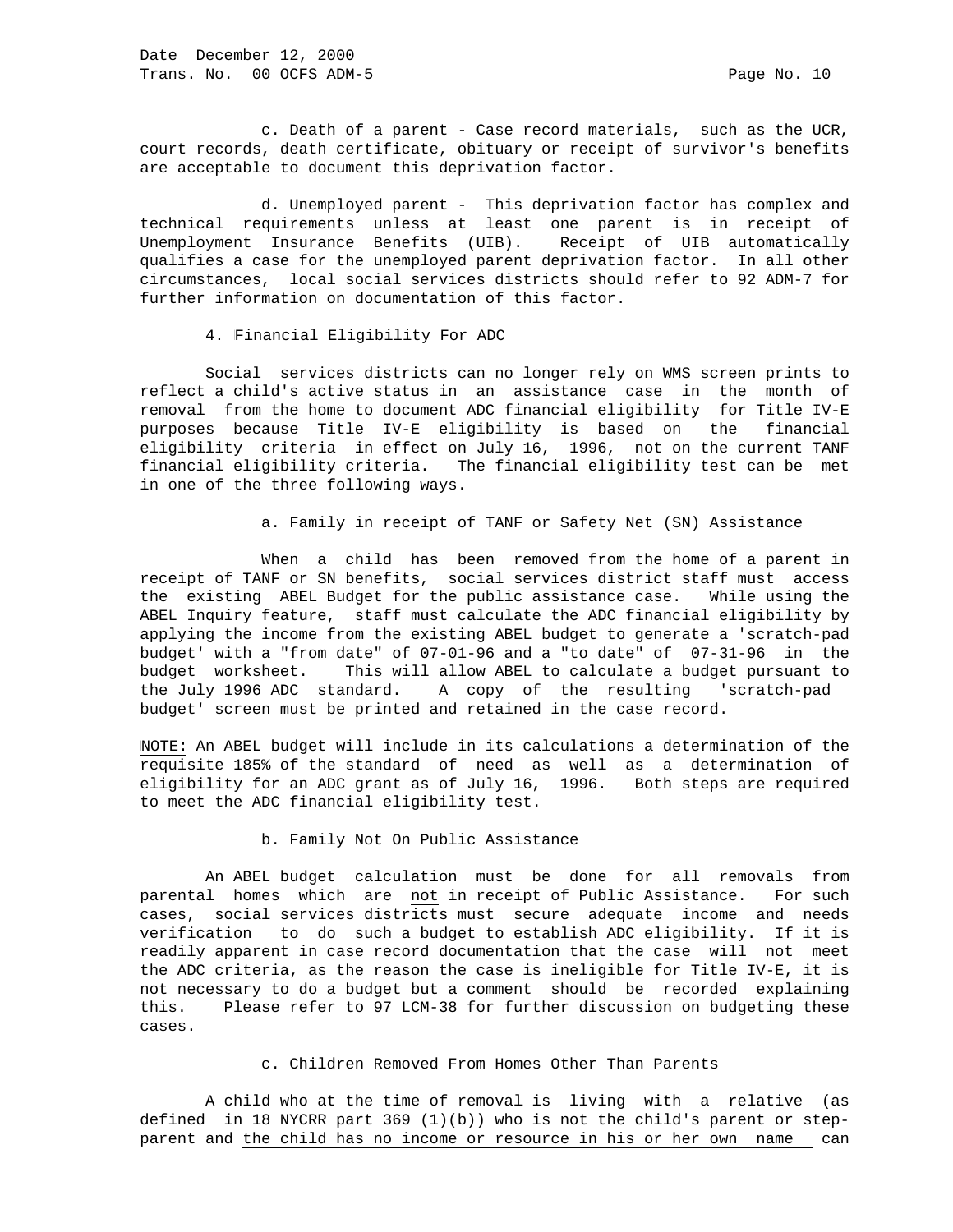c. Death of a parent - Case record materials, such as the UCR, court records, death certificate, obituary or receipt of survivor's benefits are acceptable to document this deprivation factor.

 d. Unemployed parent - This deprivation factor has complex and technical requirements unless at least one parent is in receipt of Unemployment Insurance Benefits (UIB). Receipt of UIB automatically qualifies a case for the unemployed parent deprivation factor. In all other circumstances, local social services districts should refer to 92 ADM-7 for further information on documentation of this factor.

4. Financial Eligibility For ADC

 Social services districts can no longer rely on WMS screen prints to reflect a child's active status in an assistance case in the month of removal from the home to document ADC financial eligibility for Title IV-E purposes because Title IV-E eligibility is based on the financial eligibility criteria in effect on July 16, 1996, not on the current TANF financial eligibility criteria. The financial eligibility test can be met in one of the three following ways.

a. Family in receipt of TANF or Safety Net (SN) Assistance

 When a child has been removed from the home of a parent in receipt of TANF or SN benefits, social services district staff must access the existing ABEL Budget for the public assistance case. While using the ABEL Inquiry feature, staff must calculate the ADC financial eligibility by applying the income from the existing ABEL budget to generate a 'scratch-pad budget' with a "from date" of 07-01-96 and a "to date" of 07-31-96 in the budget worksheet. This will allow ABEL to calculate a budget pursuant to the July 1996 ADC standard. A copy of the resulting 'scratch-pad budget' screen must be printed and retained in the case record.

NOTE: An ABEL budget will include in its calculations a determination of the requisite 185% of the standard of need as well as a determination of eligibility for an ADC grant as of July 16, 1996. Both steps are required to meet the ADC financial eligibility test.

b. Family Not On Public Assistance

 An ABEL budget calculation must be done for all removals from parental homes which are not in receipt of Public Assistance. For such cases, social services districts must secure adequate income and needs verification to do such a budget to establish ADC eligibility. If it is readily apparent in case record documentation that the case will not meet the ADC criteria, as the reason the case is ineligible for Title IV-E, it is not necessary to do a budget but a comment should be recorded explaining this. Please refer to 97 LCM-38 for further discussion on budgeting these cases.

c. Children Removed From Homes Other Than Parents

 A child who at the time of removal is living with a relative (as defined in 18 NYCRR part 369 (1)(b)) who is not the child's parent or stepparent and the child has no income or resource in his or her own name can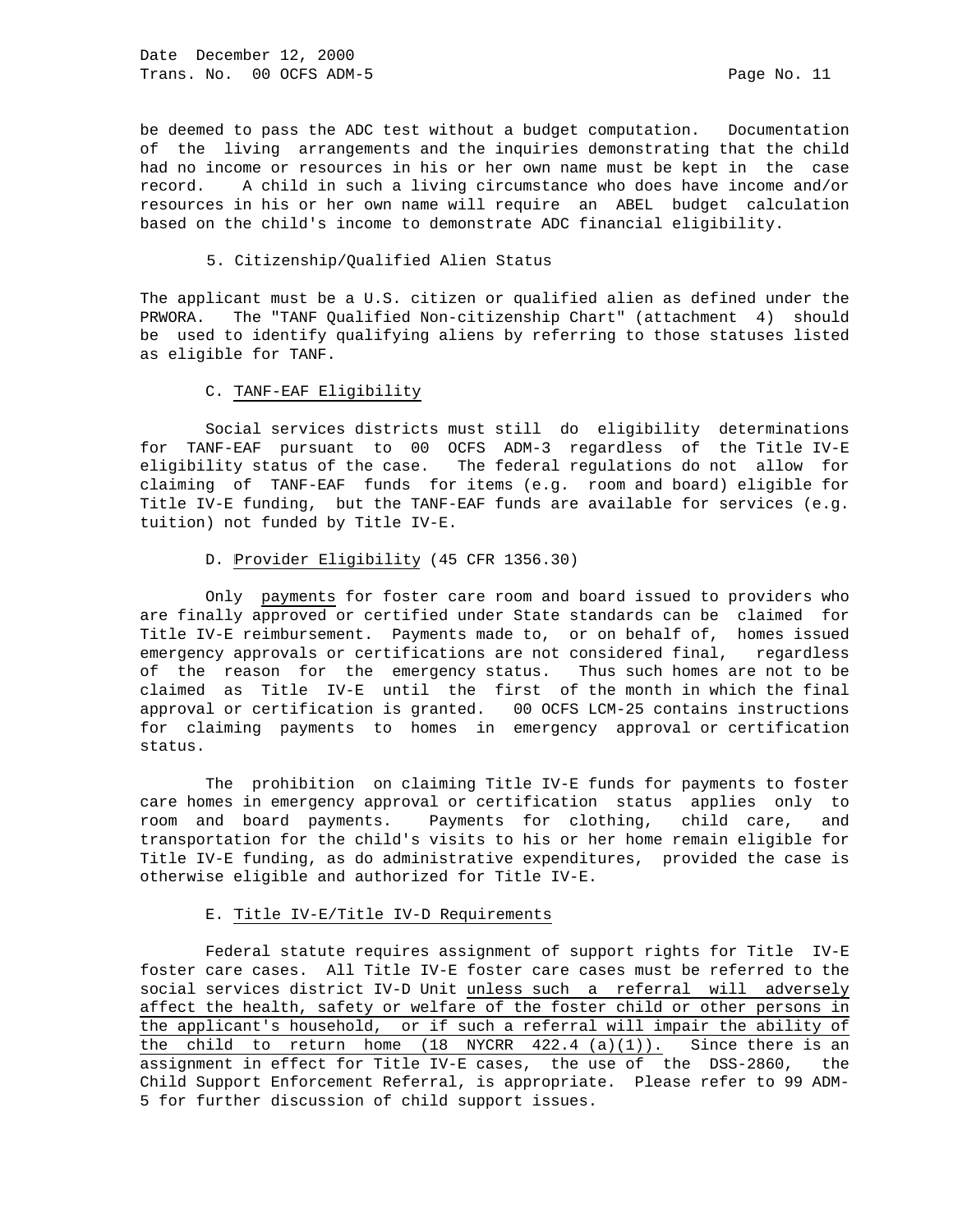Date December 12, 2000 Trans. No. 00 OCFS ADM-5 Page No. 11

be deemed to pass the ADC test without a budget computation. Documentation of the living arrangements and the inquiries demonstrating that the child had no income or resources in his or her own name must be kept in the case record. A child in such a living circumstance who does have income and/or resources in his or her own name will require an ABEL budget calculation based on the child's income to demonstrate ADC financial eligibility.

#### 5. Citizenship/Qualified Alien Status

The applicant must be a U.S. citizen or qualified alien as defined under the PRWORA. The "TANF Qualified Non-citizenship Chart" (attachment 4) should be used to identify qualifying aliens by referring to those statuses listed as eligible for TANF.

# C. TANF-EAF Eligibility

 Social services districts must still do eligibility determinations for TANF-EAF pursuant to 00 OCFS ADM-3 regardless of the Title IV-E eligibility status of the case. The federal regulations do not allow for claiming of TANF-EAF funds for items (e.g. room and board) eligible for Title IV-E funding, but the TANF-EAF funds are available for services (e.g. tuition) not funded by Title IV-E.

### D. Provider Eligibility (45 CFR 1356.30)

 Only payments for foster care room and board issued to providers who are finally approved or certified under State standards can be claimed for Title IV-E reimbursement. Payments made to, or on behalf of, homes issued emergency approvals or certifications are not considered final, regardless of the reason for the emergency status. Thus such homes are not to be claimed as Title IV-E until the first of the month in which the final approval or certification is granted. 00 OCFS LCM-25 contains instructions for claiming payments to homes in emergency approval or certification status.

 The prohibition on claiming Title IV-E funds for payments to foster care homes in emergency approval or certification status applies only to room and board payments. Payments for clothing, child care, and transportation for the child's visits to his or her home remain eligible for Title IV-E funding, as do administrative expenditures, provided the case is otherwise eligible and authorized for Title IV-E.

# E. Title IV-E/Title IV-D Requirements

 Federal statute requires assignment of support rights for Title IV-E foster care cases. All Title IV-E foster care cases must be referred to the social services district IV-D Unit unless such a referral will adversely affect the health, safety or welfare of the foster child or other persons in the applicant's household, or if such a referral will impair the ability of the child to return home (18 NYCRR  $422.4$  (a)(1)). Since there is an assignment in effect for Title IV-E cases, the use of the DSS-2860, the Child Support Enforcement Referral, is appropriate. Please refer to 99 ADM-5 for further discussion of child support issues.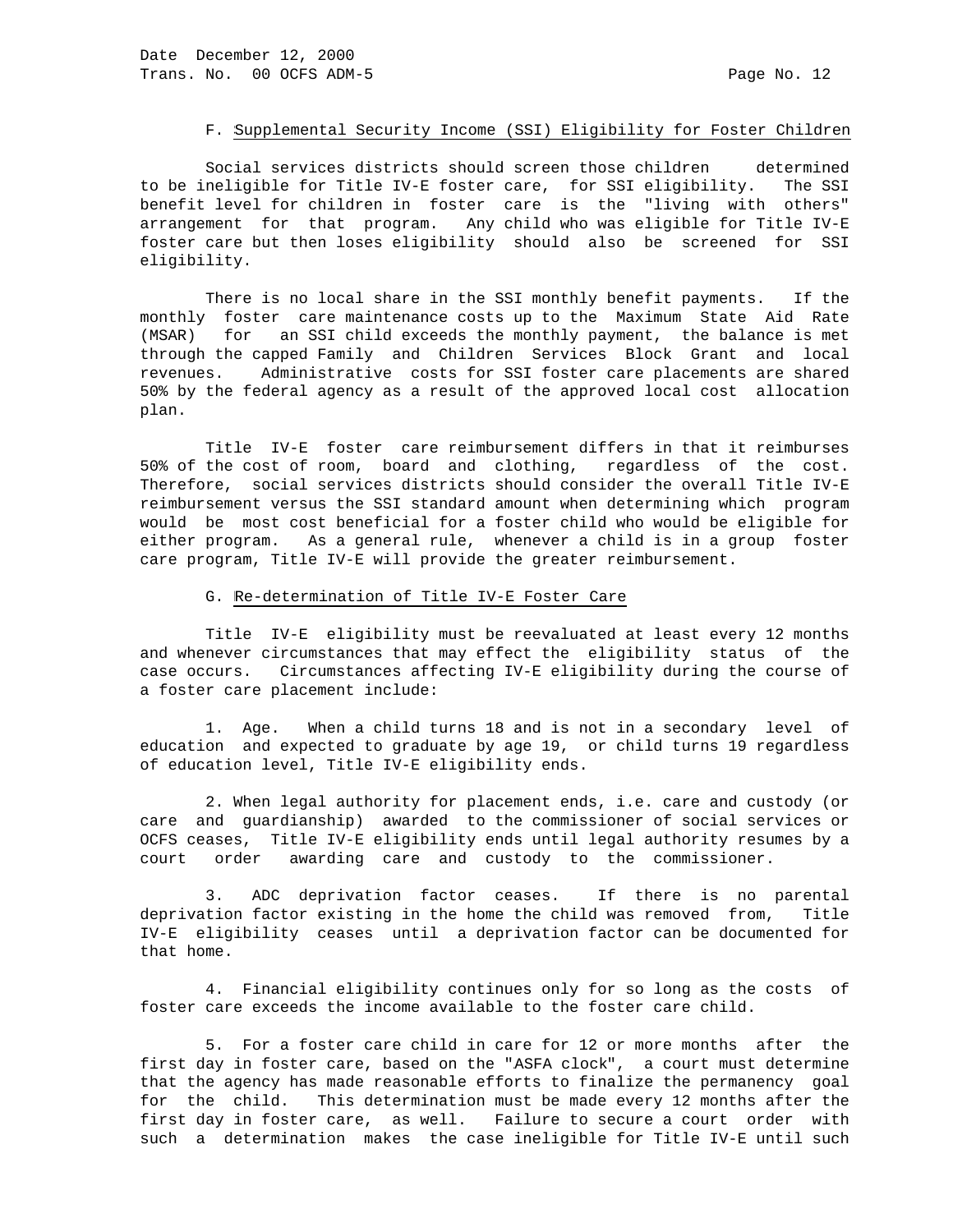# F. Supplemental Security Income (SSI) Eligibility for Foster Children

 Social services districts should screen those children determined to be ineligible for Title IV-E foster care, for SSI eligibility. The SSI benefit level for children in foster care is the "living with others" arrangement for that program. Any child who was eligible for Title IV-E foster care but then loses eligibility should also be screened for SSI eligibility.

 There is no local share in the SSI monthly benefit payments. If the monthly foster care maintenance costs up to the Maximum State Aid Rate (MSAR) for an SSI child exceeds the monthly payment, the balance is met through the capped Family and Children Services Block Grant and local revenues. Administrative costs for SSI foster care placements are shared 50% by the federal agency as a result of the approved local cost allocation plan.

 Title IV-E foster care reimbursement differs in that it reimburses 50% of the cost of room, board and clothing, regardless of the cost. Therefore, social services districts should consider the overall Title IV-E reimbursement versus the SSI standard amount when determining which program would be most cost beneficial for a foster child who would be eligible for either program. As a general rule, whenever a child is in a group foster care program, Title IV-E will provide the greater reimbursement.

# G. Re-determination of Title IV-E Foster Care

 Title IV-E eligibility must be reevaluated at least every 12 months and whenever circumstances that may effect the eligibility status of the case occurs. Circumstances affecting IV-E eligibility during the course of a foster care placement include:

 1. Age. When a child turns 18 and is not in a secondary level of education and expected to graduate by age 19, or child turns 19 regardless of education level, Title IV-E eligibility ends.

 2. When legal authority for placement ends, i.e. care and custody (or care and guardianship) awarded to the commissioner of social services or OCFS ceases, Title IV-E eligibility ends until legal authority resumes by a court order awarding care and custody to the commissioner.

 3. ADC deprivation factor ceases. If there is no parental deprivation factor existing in the home the child was removed from, Title IV-E eligibility ceases until a deprivation factor can be documented for that home.

 4. Financial eligibility continues only for so long as the costs of foster care exceeds the income available to the foster care child.

 5. For a foster care child in care for 12 or more months after the first day in foster care, based on the "ASFA clock", a court must determine that the agency has made reasonable efforts to finalize the permanency goal for the child. This determination must be made every 12 months after the first day in foster care, as well. Failure to secure a court order with such a determination makes the case ineligible for Title IV-E until such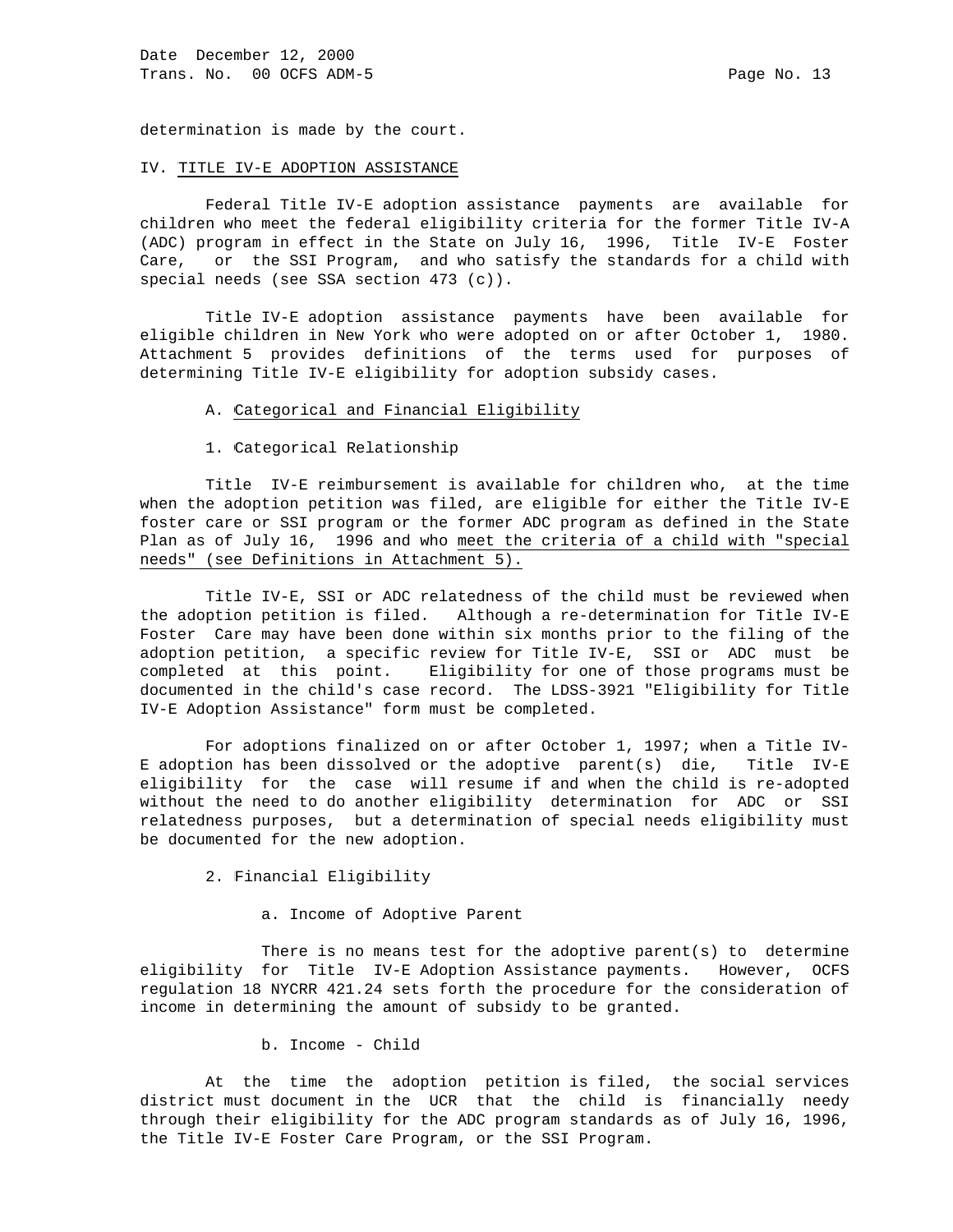determination is made by the court.

#### IV. TITLE IV-E ADOPTION ASSISTANCE

 Federal Title IV-E adoption assistance payments are available for children who meet the federal eligibility criteria for the former Title IV-A (ADC) program in effect in the State on July 16, 1996, Title IV-E Foster Care, or the SSI Program, and who satisfy the standards for a child with special needs (see SSA section 473 (c)).

 Title IV-E adoption assistance payments have been available for eligible children in New York who were adopted on or after October 1, 1980. Attachment 5 provides definitions of the terms used for purposes of determining Title IV-E eligibility for adoption subsidy cases.

# A. Categorical and Financial Eligibility

1. Categorical Relationship

 Title IV-E reimbursement is available for children who, at the time when the adoption petition was filed, are eligible for either the Title IV-E foster care or SSI program or the former ADC program as defined in the State Plan as of July 16, 1996 and who meet the criteria of a child with "special needs" (see Definitions in Attachment 5).

 Title IV-E, SSI or ADC relatedness of the child must be reviewed when the adoption petition is filed. Although a re-determination for Title IV-E Foster Care may have been done within six months prior to the filing of the adoption petition, a specific review for Title IV-E, SSI or ADC must be completed at this point. Eligibility for one of those programs must be documented in the child's case record. The LDSS-3921 "Eligibility for Title IV-E Adoption Assistance" form must be completed.

 For adoptions finalized on or after October 1, 1997; when a Title IV-E adoption has been dissolved or the adoptive parent(s) die, Title IV-E eligibility for the case will resume if and when the child is re-adopted without the need to do another eligibility determination for ADC or SSI relatedness purposes, but a determination of special needs eligibility must be documented for the new adoption.

2. Financial Eligibility

a. Income of Adoptive Parent

There is no means test for the adoptive parent(s) to determine eligibility for Title IV-E Adoption Assistance payments. However, OCFS regulation 18 NYCRR 421.24 sets forth the procedure for the consideration of income in determining the amount of subsidy to be granted.

b. Income - Child

 At the time the adoption petition is filed, the social services district must document in the UCR that the child is financially needy through their eligibility for the ADC program standards as of July 16, 1996, the Title IV-E Foster Care Program, or the SSI Program.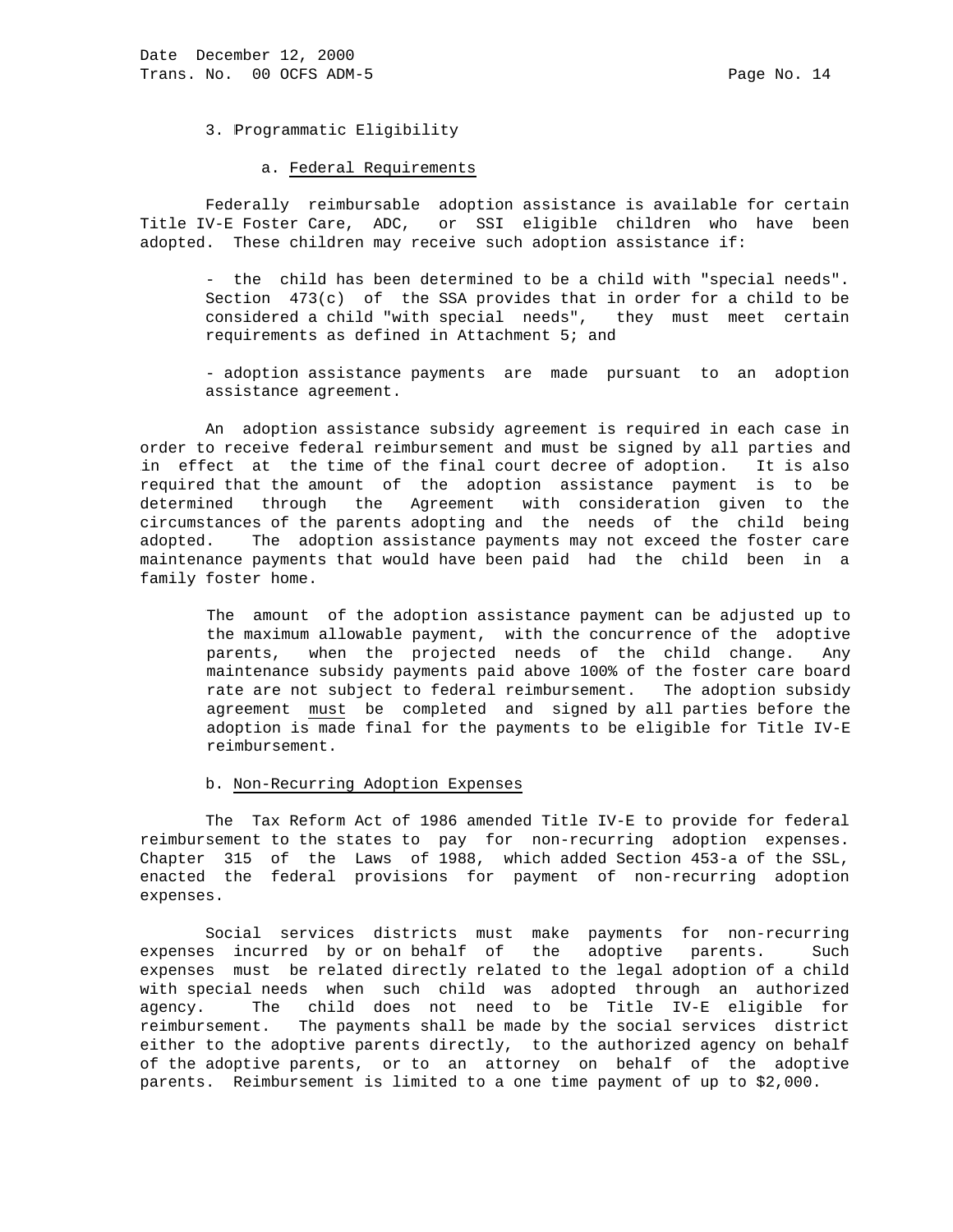3. Programmatic Eligibility

#### a. Federal Requirements

 Federally reimbursable adoption assistance is available for certain Title IV-E Foster Care, ADC, or SSI eligible children who have been adopted. These children may receive such adoption assistance if:

 - the child has been determined to be a child with "special needs". Section  $473(c)$  of the SSA provides that in order for a child to be considered a child "with special needs", they must meet certain requirements as defined in Attachment 5; and

 - adoption assistance payments are made pursuant to an adoption assistance agreement.

 An adoption assistance subsidy agreement is required in each case in order to receive federal reimbursement and must be signed by all parties and in effect at the time of the final court decree of adoption. It is also required that the amount of the adoption assistance payment is to be determined through the Agreement with consideration given to the circumstances of the parents adopting and the needs of the child being adopted. The adoption assistance payments may not exceed the foster care maintenance payments that would have been paid had the child been in a family foster home.

 The amount of the adoption assistance payment can be adjusted up to the maximum allowable payment, with the concurrence of the adoptive parents, when the projected needs of the child change. Any maintenance subsidy payments paid above 100% of the foster care board rate are not subject to federal reimbursement. The adoption subsidy agreement must be completed and signed by all parties before the adoption is made final for the payments to be eligible for Title IV-E reimbursement.

#### b. Non-Recurring Adoption Expenses

 The Tax Reform Act of 1986 amended Title IV-E to provide for federal reimbursement to the states to pay for non-recurring adoption expenses. Chapter 315 of the Laws of 1988, which added Section 453-a of the SSL, enacted the federal provisions for payment of non-recurring adoption expenses.

 Social services districts must make payments for non-recurring expenses incurred by or on behalf of the adoptive parents. Such expenses must be related directly related to the legal adoption of a child with special needs when such child was adopted through an authorized agency. The child does not need to be Title IV-E eligible for reimbursement. The payments shall be made by the social services district either to the adoptive parents directly, to the authorized agency on behalf of the adoptive parents, or to an attorney on behalf of the adoptive parents. Reimbursement is limited to a one time payment of up to \$2,000.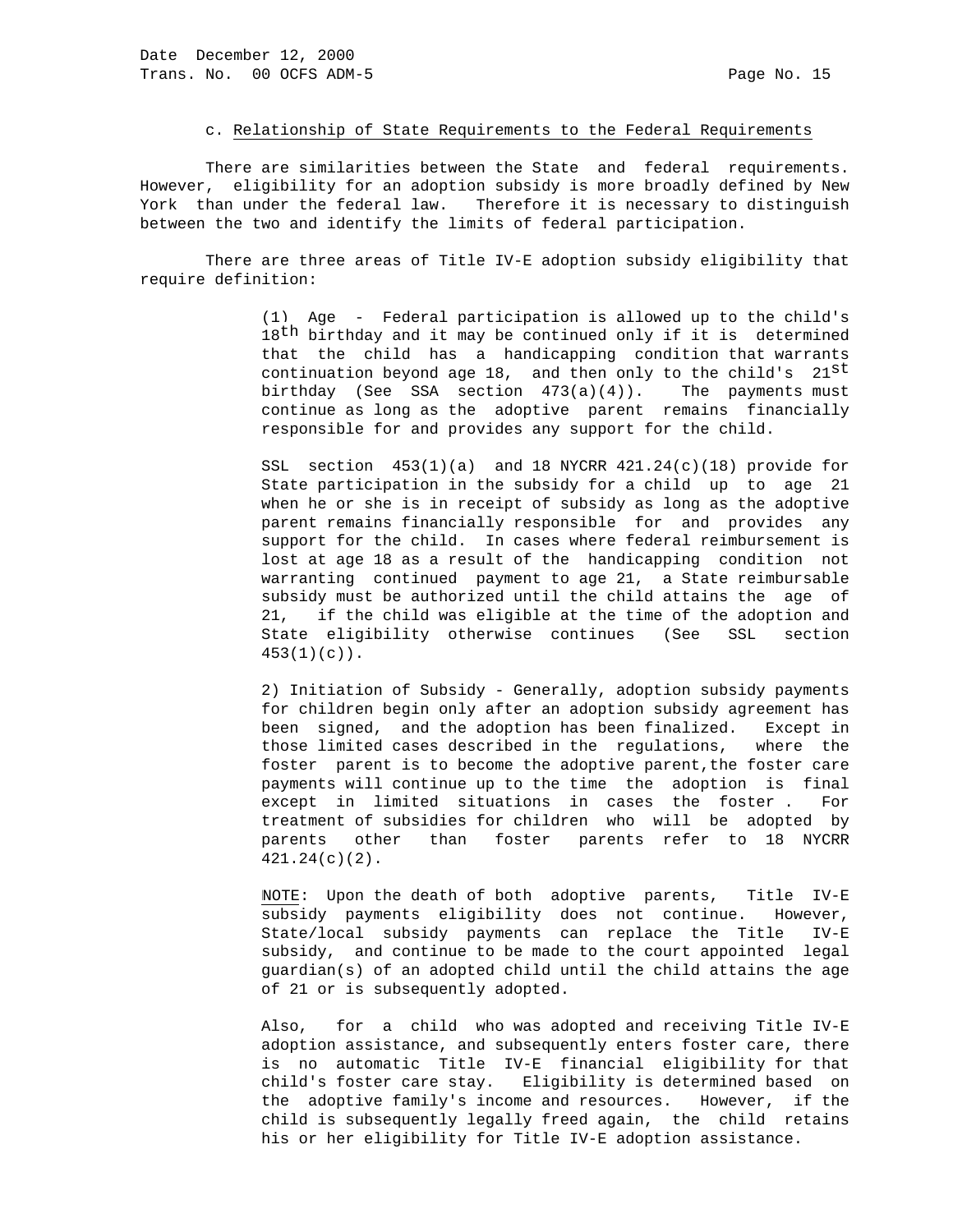#### c. Relationship of State Requirements to the Federal Requirements

 There are similarities between the State and federal requirements. However, eligibility for an adoption subsidy is more broadly defined by New York than under the federal law. Therefore it is necessary to distinguish between the two and identify the limits of federal participation.

 There are three areas of Title IV-E adoption subsidy eligibility that require definition:

 (1) Age - Federal participation is allowed up to the child's 18<sup>th</sup> birthday and it may be continued only if it is determined that the child has a handicapping condition that warrants continuation beyond age 18, and then only to the child's  $21^{35}$  birthday (See SSA section 473(a)(4)). The payments must continue as long as the adoptive parent remains financially responsible for and provides any support for the child.

> SSL section 453(1)(a) and 18 NYCRR 421.24(c)(18) provide for State participation in the subsidy for a child up to age 21 when he or she is in receipt of subsidy as long as the adoptive parent remains financially responsible for and provides any support for the child. In cases where federal reimbursement is lost at age 18 as a result of the handicapping condition not warranting continued payment to age 21, a State reimbursable subsidy must be authorized until the child attains the age of 21, if the child was eligible at the time of the adoption and State eligibility otherwise continues (See SSL section 453(1)(c)).

> 2) Initiation of Subsidy - Generally, adoption subsidy payments for children begin only after an adoption subsidy agreement has been signed, and the adoption has been finalized. Except in those limited cases described in the regulations, where the foster parent is to become the adoptive parent, the foster care payments will continue up to the time the adoption is final except in limited situations in cases the foster . For treatment of subsidies for children who will be adopted by parents other than foster parents refer to 18 NYCRR 421.24(c)(2).

> NOTE:: Upon the death of both adoptive parents, Title IV-E subsidy payments eligibility does not continue. However, State/local subsidy payments can replace the Title IV-E subsidy, and continue to be made to the court appointed legal guardian(s) of an adopted child until the child attains the age of 21 or is subsequently adopted.

> Also, for a child who was adopted and receiving Title IV-E adoption assistance, and subsequently enters foster care, there is no automatic Title IV-E financial eligibility for that child's foster care stay. Eligibility is determined based on the adoptive family's income and resources. However, if the child is subsequently legally freed again, the child retains his or her eligibility for Title IV-E adoption assistance.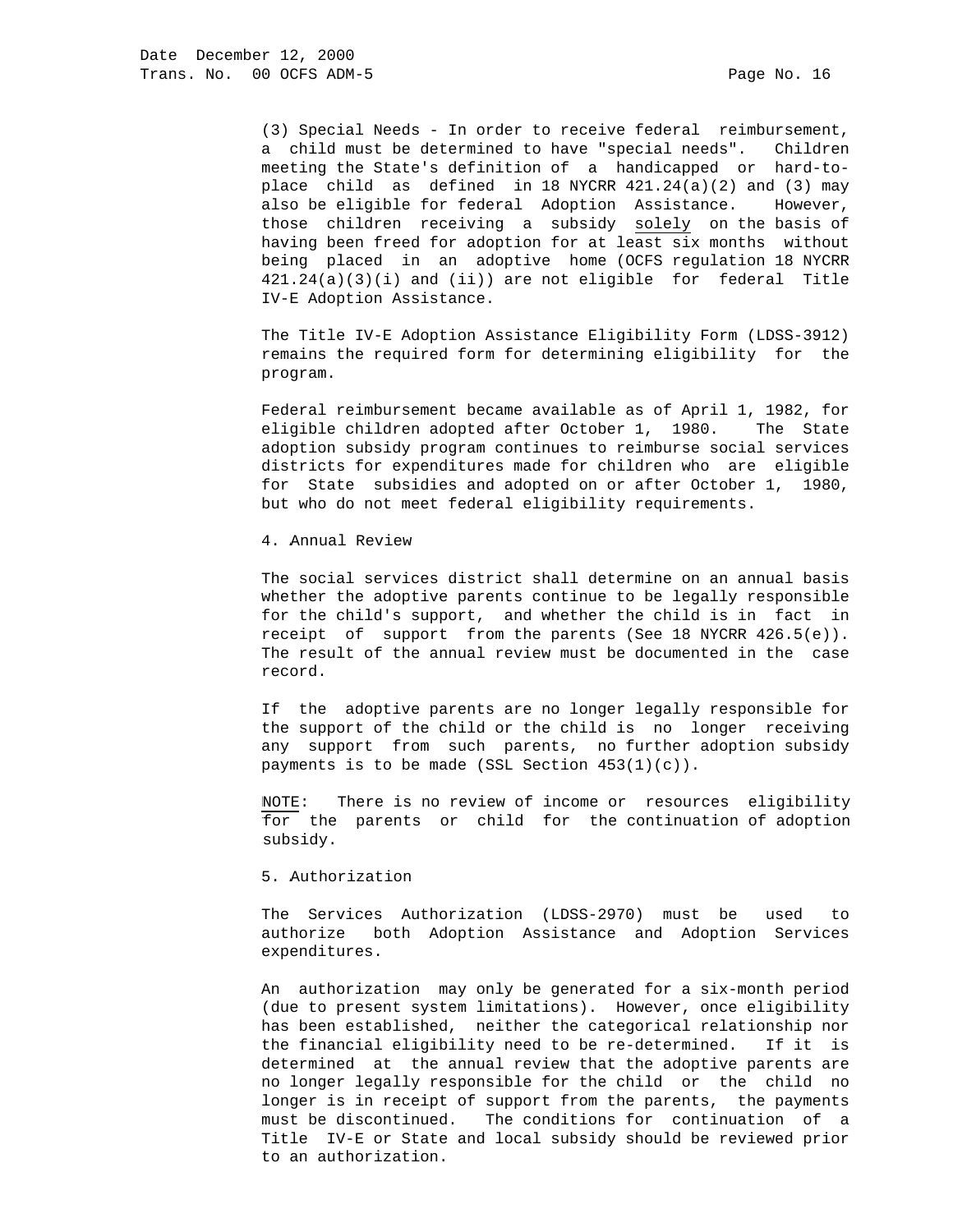(3) Special Needs - In order to receive federal reimbursement, a child must be determined to have "special needs". Children meeting the State's definition of a handicapped or hard-to place child as defined in 18 NYCRR  $421.24(a)(2)$  and (3) may also be eligible for federal Adoption Assistance. However, those children receiving a subsidy solely on the basis of having been freed for adoption for at least six months without being placed in an adoptive home (OCFS regulation 18 NYCRR 421.24(a)(3)(i) and (ii)) are not eligible for federal Title IV-E Adoption Assistance.

 The Title IV-E Adoption Assistance Eligibility Form (LDSS-3912) remains the required form for determining eligibility for the program.

 Federal reimbursement became available as of April 1, 1982, for eligible children adopted after October 1, 1980. The State adoption subsidy program continues to reimburse social services districts for expenditures made for children who are eligible for State subsidies and adopted on or after October 1, 1980, but who do not meet federal eligibility requirements.

4. Annual Review

 The social services district shall determine on an annual basis whether the adoptive parents continue to be legally responsible for the child's support, and whether the child is in fact in receipt of support from the parents (See 18 NYCRR 426.5(e)). The result of the annual review must be documented in the case record.

 If the adoptive parents are no longer legally responsible for the support of the child or the child is no longer receiving any support from such parents, no further adoption subsidy payments is to be made (SSL Section 453(1)(c)).

 NOTE: There is no review of income or resources eligibility for the parents or child for the continuation of adoption subsidy.

5. Authorization

 The Services Authorization (LDSS-2970) must be used to authorize both Adoption Assistance and Adoption Services expenditures.

 An authorization may only be generated for a six-month period (due to present system limitations). However, once eligibility has been established, neither the categorical relationship nor the financial eligibility need to be re-determined. If it is determined at the annual review that the adoptive parents are no longer legally responsible for the child or the child no longer is in receipt of support from the parents, the payments must be discontinued. The conditions for continuation of a Title IV-E or State and local subsidy should be reviewed prior to an authorization.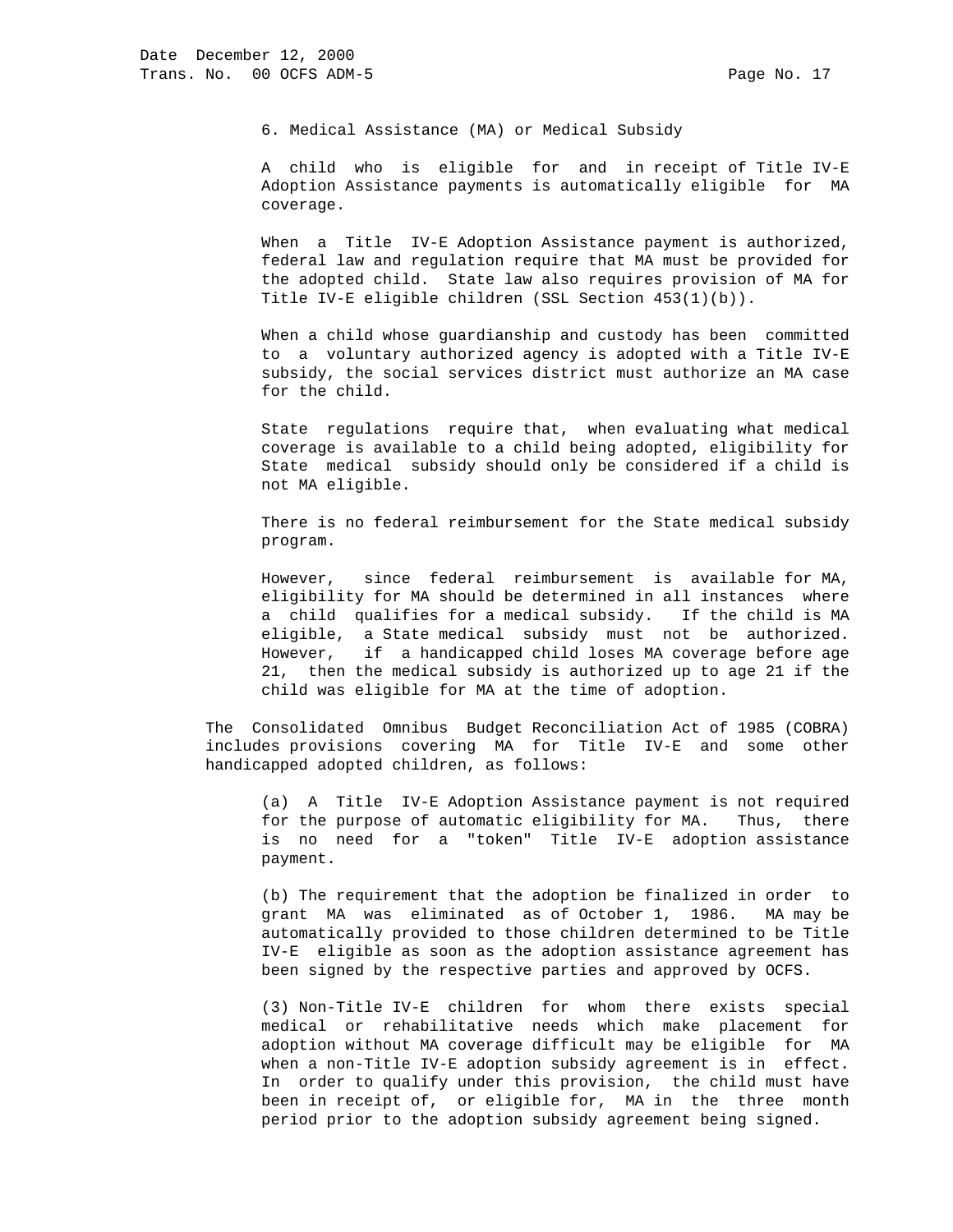6. Medical Assistance (MA) or Medical Subsidy

 A child who is eligible for and in receipt of Title IV-E Adoption Assistance payments is automatically eligible for MA coverage.

When a Title IV-E Adoption Assistance payment is authorized, federal law and regulation require that MA must be provided for the adopted child. State law also requires provision of MA for Title IV-E eligible children (SSL Section 453(1)(b)).

 When a child whose guardianship and custody has been committed to a voluntary authorized agency is adopted with a Title IV-E subsidy, the social services district must authorize an MA case for the child.

 State regulations require that, when evaluating what medical coverage is available to a child being adopted, eligibility for State medical subsidy should only be considered if a child is not MA eligible.

 There is no federal reimbursement for the State medical subsidy program.

 However, since federal reimbursement is available for MA, eligibility for MA should be determined in all instances where a child qualifies for a medical subsidy. If the child is MA eligible, a State medical subsidy must not be authorized. However, if a handicapped child loses MA coverage before age 21, then the medical subsidy is authorized up to age 21 if the child was eligible for MA at the time of adoption.

 The Consolidated Omnibus Budget Reconciliation Act of 1985 (COBRA) includes provisions covering MA for Title IV-E and some other handicapped adopted children, as follows:

 (a) A Title IV-E Adoption Assistance payment is not required for the purpose of automatic eligibility for MA. Thus, there is no need for a "token" Title IV-E adoption assistance payment.

 (b) The requirement that the adoption be finalized in order to grant MA was eliminated as of October 1, 1986. MA may be automatically provided to those children determined to be Title IV-E eligible as soon as the adoption assistance agreement has been signed by the respective parties and approved by OCFS.

 (3) Non-Title IV-E children for whom there exists special medical or rehabilitative needs which make placement for adoption without MA coverage difficult may be eligible for MA when a non-Title IV-E adoption subsidy agreement is in effect. In order to qualify under this provision, the child must have been in receipt of, or eligible for, MA in the three month period prior to the adoption subsidy agreement being signed.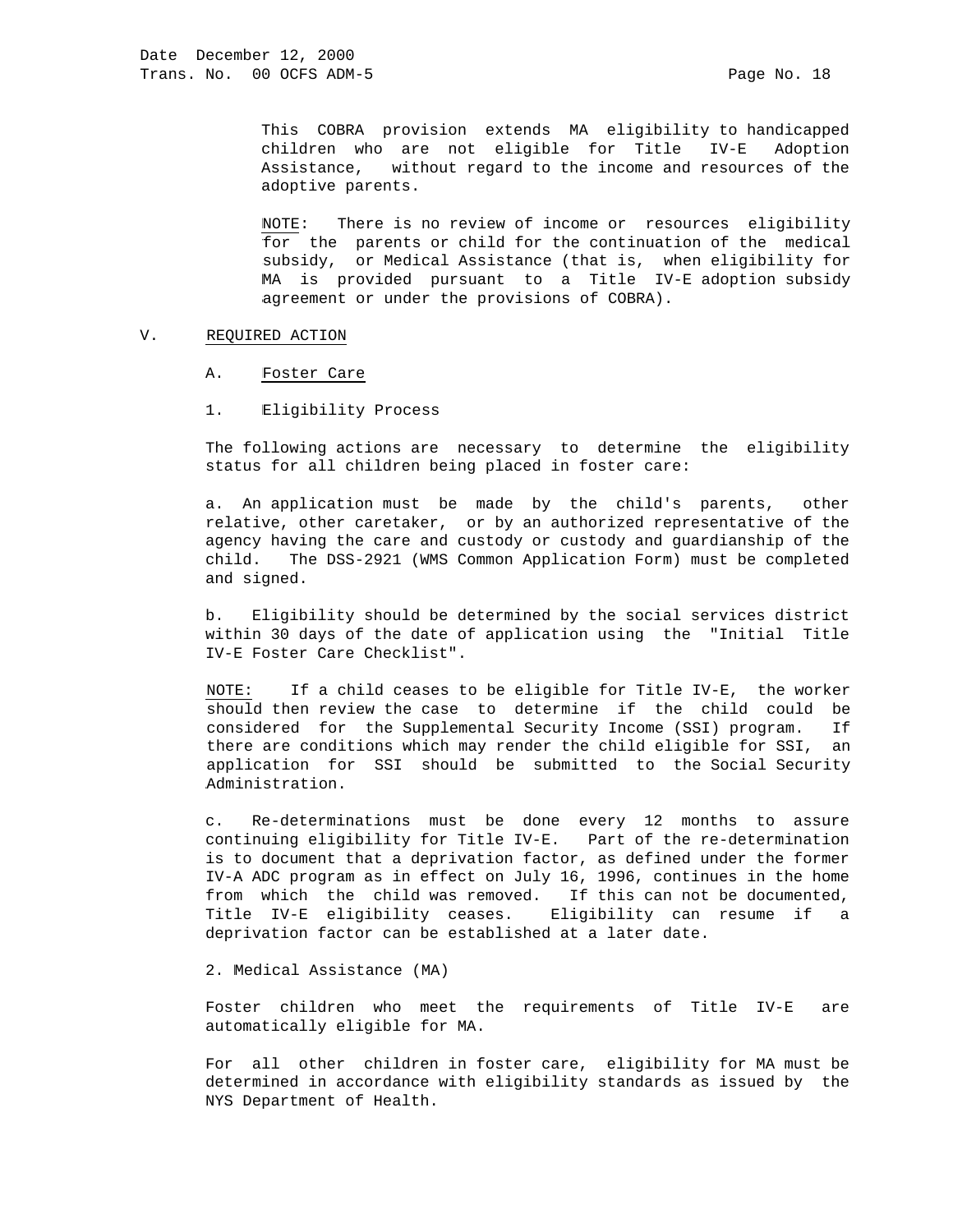This COBRA provision extends MA eligibility to handicapped children who are not eligible for Title IV-E Adoption Assistance, without regard to the income and resources of the adoptive parents.

 NOTE: There is no review of income or resources eligibility for the parents or child for the continuation of the medical subsidy, or Medical Assistance (that is, when eligibility for MA is provided pursuant to a Title IV-E adoption subsidy agreement or under the provisions of COBRA).

### V. REQUIRED ACTION

- A. Foster Care
- 1. Eligibility Process

 The following actions are necessary to determine the eligibility status for all children being placed in foster care:

 a. An application must be made by the child's parents, other relative, other caretaker, or by an authorized representative of the agency having the care and custody or custody and guardianship of the child. The DSS-2921 (WMS Common Application Form) must be completed and signed.

 b. Eligibility should be determined by the social services district within 30 days of the date of application using the "Initial Title IV-E Foster Care Checklist".

 NOTE: If a child ceases to be eligible for Title IV-E, the worker should then review the case to determine if the child could be considered for the Supplemental Security Income (SSI) program. If there are conditions which may render the child eligible for SSI, an application for SSI should be submitted to the Social Security Administration.

 c. Re-determinations must be done every 12 months to assure continuing eligibility for Title IV-E. Part of the re-determination is to document that a deprivation factor, as defined under the former IV-A ADC program as in effect on July 16, 1996, continues in the home from which the child was removed. If this can not be documented, Title IV-E eligibility ceases. Eligibility can resume if a deprivation factor can be established at a later date.

2. Medical Assistance (MA)

 Foster children who meet the requirements of Title IV-E are automatically eligible for MA.

 For all other children in foster care, eligibility for MA must be determined in accordance with eligibility standards as issued by the NYS Department of Health.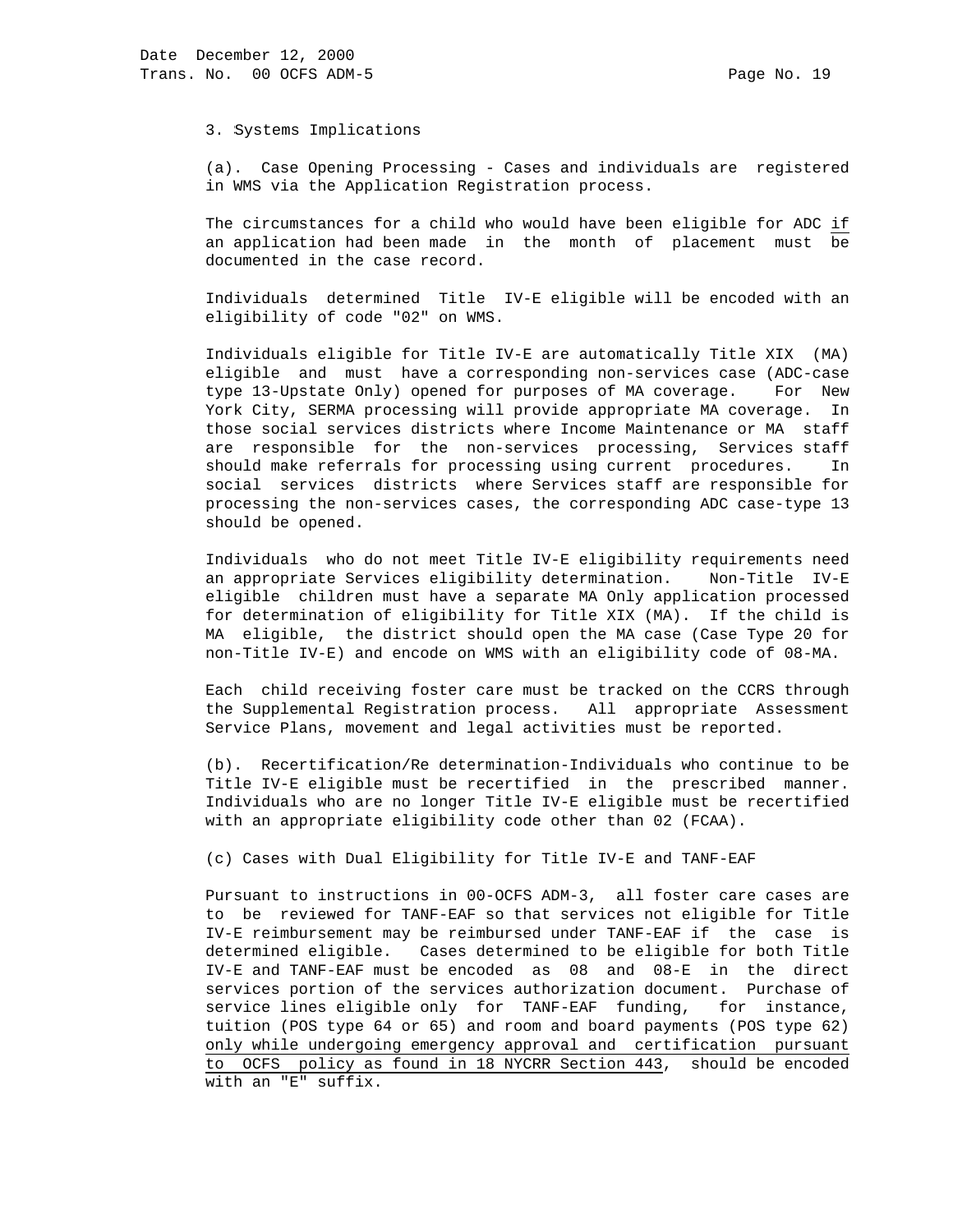3. Systems Implications

 (a). Case Opening Processing - Cases and individuals are registered in WMS via the Application Registration process.

 The circumstances for a child who would have been eligible for ADC if an application had been made in the month of placement must be documented in the case record.

 Individuals determined Title IV-E eligible will be encoded with an eligibility of code "02" on WMS.

 Individuals eligible for Title IV-E are automatically Title XIX (MA) eligible and must have a corresponding non-services case (ADC-case type 13-Upstate Only) opened for purposes of MA coverage. For New York City, SERMA processing will provide appropriate MA coverage. In those social services districts where Income Maintenance or MA staff are responsible for the non-services processing, Services staff should make referrals for processing using current procedures. In social services districts where Services staff are responsible for processing the non-services cases, the corresponding ADC case-type 13 should be opened.

 Individuals who do not meet Title IV-E eligibility requirements need an appropriate Services eligibility determination. Non-Title IV-E eligible children must have a separate MA Only application processed for determination of eligibility for Title XIX (MA). If the child is MA eligible, the district should open the MA case (Case Type 20 for non-Title IV-E) and encode on WMS with an eligibility code of 08-MA.

 Each child receiving foster care must be tracked on the CCRS through the Supplemental Registration process. All appropriate Assessment Service Plans, movement and legal activities must be reported.

 (b). Recertification/Re determination-Individuals who continue to be Title IV-E eligible must be recertified in the prescribed manner. Individuals who are no longer Title IV-E eligible must be recertified with an appropriate eligibility code other than 02 (FCAA).

(c) Cases with Dual Eligibility for Title IV-E and TANF-EAF

 Pursuant to instructions in 00-OCFS ADM-3, all foster care cases are to be reviewed for TANF-EAF so that services not eligible for Title IV-E reimbursement may be reimbursed under TANF-EAF if the case is determined eligible. Cases determined to be eligible for both Title IV-E and TANF-EAF must be encoded as 08 and 08-E in the direct services portion of the services authorization document. Purchase of service lines eligible only for TANF-EAF funding, for instance, tuition (POS type 64 or 65) and room and board payments (POS type 62) only while undergoing emergency approval and certification pursuant to OCFS policy as found in 18 NYCRR Section 443, should be encoded with an "E" suffix.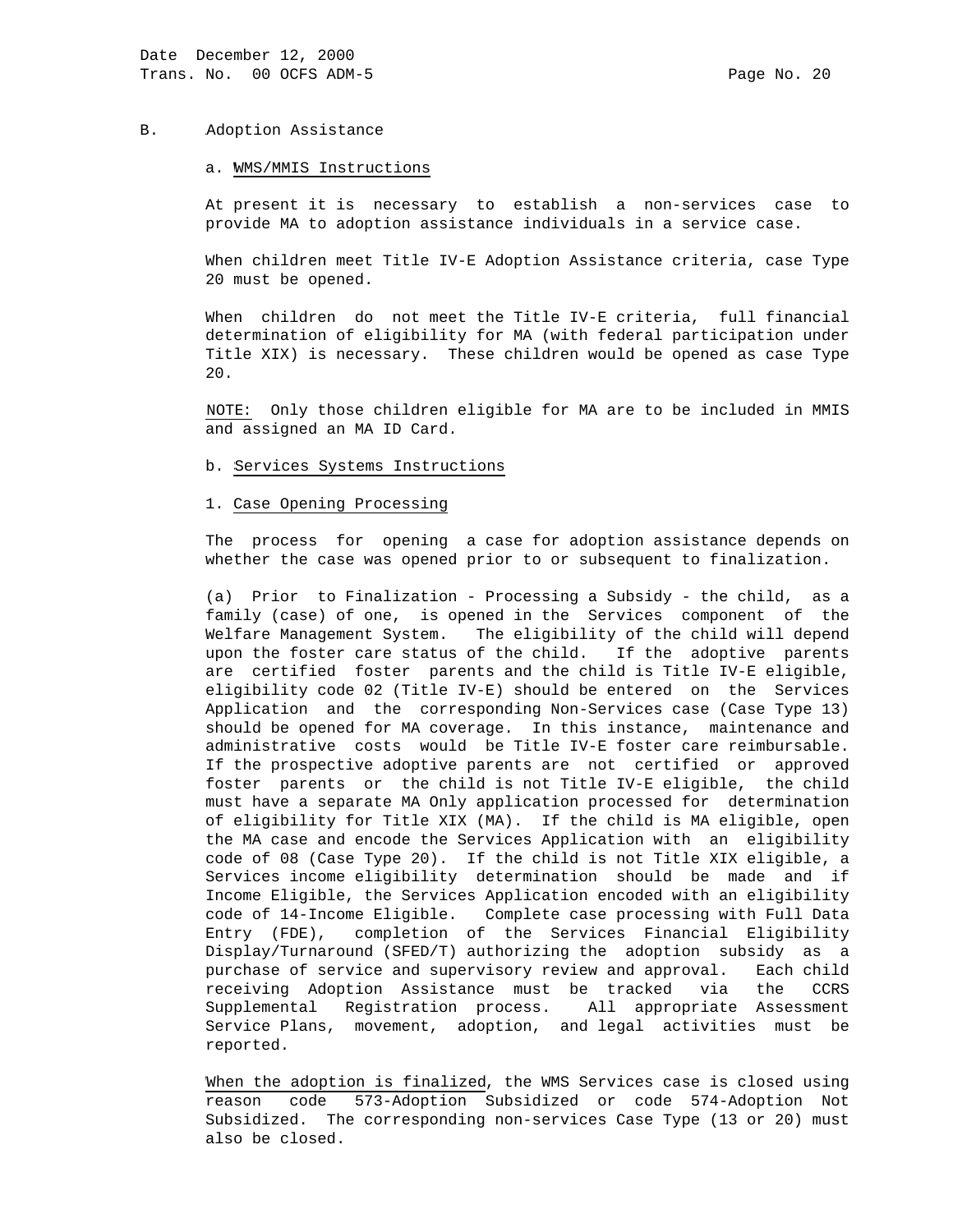#### B. Adoption Assistance

#### a. WMS/MMIS Instructions

 At present it is necessary to establish a non-services case to provide MA to adoption assistance individuals in a service case.

 When children meet Title IV-E Adoption Assistance criteria, case Type 20 must be opened.

 When children do not meet the Title IV-E criteria, full financial determination of eligibility for MA (with federal participation under Title XIX) is necessary. These children would be opened as case Type 20.

 NOTE: Only those children eligible for MA are to be included in MMIS and assigned an MA ID Card.

b. Services Systems Instructions

### 1. Case Opening Processing

 The process for opening a case for adoption assistance depends on whether the case was opened prior to or subsequent to finalization.

 (a) Prior to Finalization - Processing a Subsidy - the child, as a family (case) of one, is opened in the Services component of the Welfare Management System. The eligibility of the child will depend upon the foster care status of the child. If the adoptive parents are certified foster parents and the child is Title IV-E eligible, eligibility code 02 (Title IV-E) should be entered on the Services Application and the corresponding Non-Services case (Case Type 13) should be opened for MA coverage. In this instance, maintenance and administrative costs would be Title IV-E foster care reimbursable. If the prospective adoptive parents are not certified or approved foster parents or the child is not Title IV-E eligible, the child must have a separate MA Only application processed for determination of eligibility for Title XIX (MA). If the child is MA eligible, open the MA case and encode the Services Application with an eligibility code of 08 (Case Type 20). If the child is not Title XIX eligible, a Services income eligibility determination should be made and if Income Eligible, the Services Application encoded with an eligibility code of 14-Income Eligible. Complete case processing with Full Data Entry (FDE), completion of the Services Financial Eligibility Display/Turnaround (SFED/T) authorizing the adoption subsidy as a purchase of service and supervisory review and approval. Each child receiving Adoption Assistance must be tracked via the CCRS Supplemental Registration process. All appropriate Assessment Service Plans, movement, adoption, and legal activities must be reported.

 When the adoption is finalized, the WMS Services case is closed using reason code 573-Adoption Subsidized or code 574-Adoption Not Subsidized. The corresponding non-services Case Type (13 or 20) must also be closed.